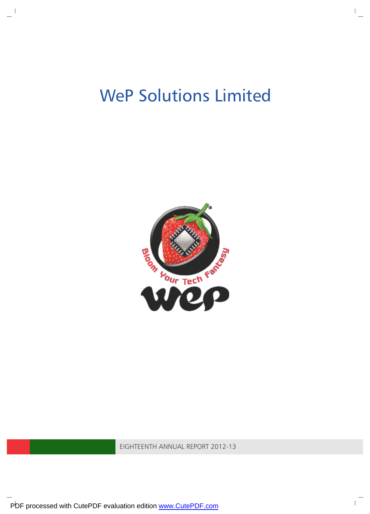# WeP Solutions Limited

 $\mathcal{L}$ 

 $\vert$ 



EIGHTEENTH ANNUAL REPORT 2012-13

PDF processed with CutePDF evaluation edition [www.CutePDF.com](http://www.cutepdf.com)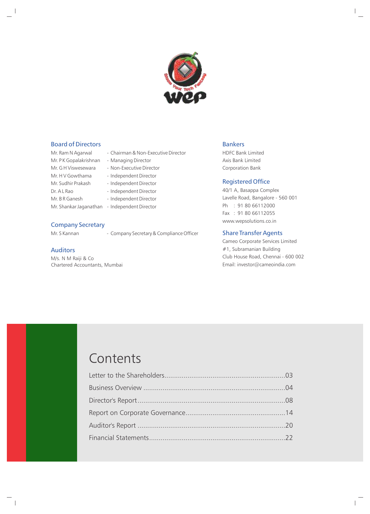

### Board of Directors

 $\overline{\phantom{a}}$ 

 $\blacksquare$ 

Mr. P K Gopalakrishnan - Managing Director Mr. G H Viswesewara - Non-Executive Director Mr. H V Gowthama - Independent Director Mr. Sudhir Prakash - Independent Director Dr. A L Rao - Independent Director Mr. B R Ganesh - Independent Director

- Mr. Ram N Agarwal Chairman & Non-Executive Director
	-
	-
	-
	-
	-
	-
- Mr. Shankar Jaganathan Independent Director

### Company Secretary

Mr. S Kannan - Company Secretary & Compliance Officer

### Auditors

M/s. N M Raiji & Co Chartered Accountants, Mumbai

# Bankers

HDFC Bank Limited Axis Bank Limited Corporation Bank

### Registered Office

40/1 A, Basappa Complex Lavelle Road, Bangalore - 560 001 Ph : 91 80 66112000 Fax : 91 80 66112055 www.wepsolutions.co.in

 $\overline{1}$ 

 $\overline{1}$ 

### Share Transfer Agents

Cameo Corporate Services Limited #1, Subramanian Building Club House Road, Chennai - 600 002 Email: investor@cameoindia.com

# **Contents**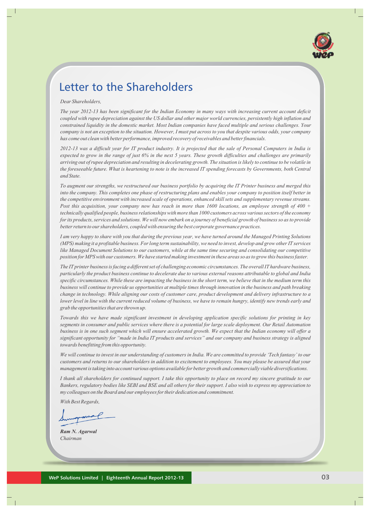

# Letter to the Shareholders

#### Dear Shareholders,

The year 2012-13 has been significant for the Indian Economy in many ways with increasing current account deficit coupled with rupee depreciation against the US dollar and other major world currencies, persistently high inflation and constrained liquidity in the domestic market. Most Indian companies have faced multiple and serious challenges. Your company is not an exception to the situation. However, I must put across to you that despite various odds, your company has come out clean with better performance, improved recovery of receivables and better financials.

2012-13 was a difficult year for IT product industry. It is projected that the sale of Personal Computers in India is expected to grow in the range of just 6% in the next 5 years. These growth difficulties and challenges are primarily arriving out of rupee depreciation and resulting in decelerating growth. The situation is likely to continue to be volatile in the foreseeable future. What is heartening to note is the increased IT spending forecasts by Governments, both Central and State.

To augment our strengths, we restructured our business portfolio by acquiring the IT Printer business and merged this into the company. This completes one phase of restructuring plans and enables your company to position itself better in the competitive environment with increased scale of operations, enhanced skill sets and supplementary revenue streams. Post this acquisition, your company now has reach in more than 1600 locations, an employee strength of 400 + technically qualified people, business relationships with more than 1000 customers across various sectors of the economy for its products, services and solutions. We will now embark on a journey of beneficial growth of business so as to provide better return to our shareholders, coupled with ensuring the best corporate governance practices.

I am very happy to share with you that during the previous year, we have turned around the Managed Printing Solutions (MPS) making it a profitable business. For long term sustainability, we need to invest, develop and grow other IT services like Managed Document Solutions to our customers, while at the same time securing and consolidating our competitive position for MPS with our customers. We have started making investment in these areas so as to grow this business faster.

The IT printer business is facing a different set of challenging economic circumstances. The overall IT hardware business, particularly the product business continue to decelerate due to various external reasons attributable to global and India specific circumstances. While these are impacting the business in the short term, we believe that in the medium term this business will continue to provide us opportunities at multiple times through innovation in the business and path breaking change in technology. While aligning our costs of customer care, product development and delivery infrastructure to a lower level in line with the current reduced volume of business, we have to remain hungry, identify new trends early and grab the opportunities that are thrown up.

Towards this we have made significant investment in developing application specific solutions for printing in key segments in consumer and public services where there is a potential for large scale deployment. Our Retail Automation business is in one such segment which will ensure accelerated growth. We expect that the Indian economy will offer a significant opportunity for "made in India IT products and services" and our company and business strategy is aligned towards benefitting from this opportunity.

We will continue to invest in our understanding of customers in India. We are committed to provide 'Tech fantasy' to our customers and returns to our shareholders in addition to excitement to employees. You may please be assured that your management is taking into account various options available for better growth and commercially viable diversifications.

I thank all shareholders for continued support. I take this opportunity to place on record my sincere gratitude to our Bankers, regulatory bodies like SEBI and BSE and all others for their support. I also wish to express my appreciation to my colleagues on the Board and our employees for their dedication and commitment.

With Best Regards,

**Ram N. Agarwal** Chairman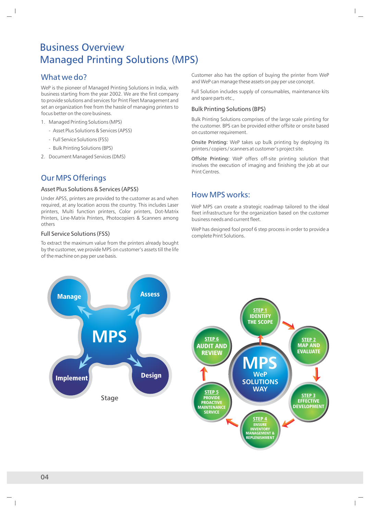# Business Overview Managed Printing Solutions (MPS)

# What we do?

 $\overline{\phantom{a}}$ 

WeP is the pioneer of Managed Printing Solutions in India, with business starting from the year 2002. We are the first company to provide solutions and services for Print Fleet Management and set an organization free from the hassle of managing printers to focus better on the core business.

- 1. Managed Printing Solutions (MPS)
	- Asset Plus Solutions & Services (APSS)
	- Full Service Solutions (FSS)
	- Bulk Printing Solutions (BPS)
- 2. Document Managed Services (DMS)

# Our MPS Offerings

### Asset Plus Solutions & Services (APSS)

Under APSS, printers are provided to the customer as and when required, at any location across the country. This includes Laser printers, Multi function printers, Color printers, Dot-Matrix Printers, Line-Matrix Printers, Photocopiers & Scanners among others

### Full Service Solutions (FSS)

To extract the maximum value from the printers already bought by the customer, we provide MPS on customer's assets till the life of the machine on pay per use basis.

Customer also has the option of buying the printer from WeP and WeP can manage these assets on pay per use concept.

Full Solution includes supply of consumables, maintenance kits and spare parts etc.,

## Bulk Printing Solutions (BPS)

Bulk Printing Solutions comprises of the large scale printing for the customer. BPS can be provided either offsite or onsite based on customer requirement.

Onsite Printing: WeP takes up bulk printing by deploying its printers / copiers / scanners at customer's project site.

Offsite Printing: WeP offers off-site printing solution that involves the execution of imaging and finishing the job at our Print Centres.

# How MPS works:

WeP MPS can create a strategic roadmap tailored to the ideal fleet infrastructure for the organization based on the customer business needs and current fleet.

WeP has designed fool proof 6 step process in order to provide a complete Print Solutions.



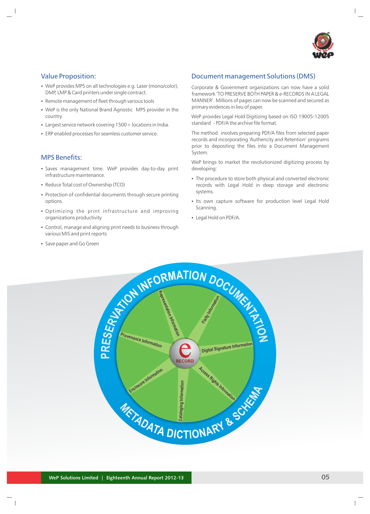

## Value Proposition:

 $\overline{\phantom{0}}$ 

- WeP provides MPS on all technologies e.g. Laser (mono/color), DMP, LMP & Card printers under single contract.
- Remote management of fleet through various tools
- WeP is the only National Brand Agnostic MPS provider in the country.
- Largest service network covering 1500+ locations in India.
- ERP enabled processes for seamless customer service.

### MPS Benefits:

- Saves management time. WeP provides day-to-day print infrastructure maintenance.
- Reduce Total cost of Ownership (TCO)
- Protection of confidential documents through secure printing options.
- Optimizing the print infrastructure and improving organizations productivity
- Control, manage and aligning print needs to business through various MIS and print reports
- Save paper and Go Green

### Document management Solutions (DMS)

Corporate & Government organizations can now have a solid framework 'TO PRESERVE BOTH PAPER & e-RECORDS IN A LEGAL MANNER'. Millions of pages can now be scanned and secured as primary evidences in lieu of paper.

WeP provides Legal Hold Digitizing based on ISO 19005-12005 standard - PDF/A the archive file format.

The method involves preparing PDF/A files from selected paper records and incorporating 'Authencity and Retention' programs prior to depositing the files into a Document Management System.

WeP brings to market the revolutionized digitizing process by developing:

- The procedure to store both physical and converted electronic records with Legal Hold in deep storage and electronic systems.
- Its own capture software for production level Legal Hold Scanning.
- Legal Hold on PDF/A.

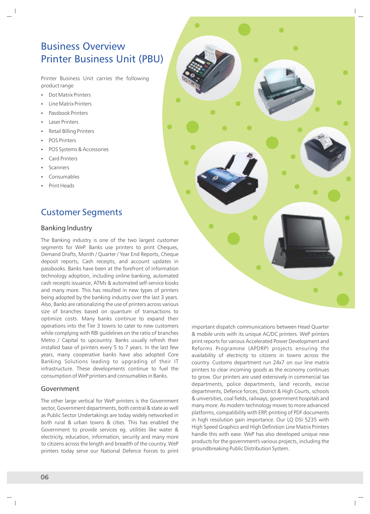# Business Overview Printer Business Unit (PBU)

Printer Business Unit carries the following product range

- Dot Matrix Printers
- Line Matrix Printers
- Passbook Printers
- Laser Printers
- Retail Billing Printers
- POS Printers
- POS Systems & Accessories
- Card Printers
- Scanners
- Consumables
- Print Heads

# Customer Segments

## Banking Industry

The Banking industry is one of the two largest customer segments for WeP. Banks use printers to print Cheques, Demand Drafts, Month / Quarter / Year End Reports, Cheque deposit reports, Cash receipts, and account updates in passbooks. Banks have been at the forefront of information technology adoption, including online banking, automated cash receipts issuance, ATMs & automated self-service kiosks and many more. This has resulted in new types of printers being adopted by the banking industry over the last 3 years. Also, Banks are rationalizing the use of printers across various size of branches based on quantum of transactions to optimize costs. Many banks continue to expand their operations into the Tier 3 towns to cater to new customers while complying with RBI guidelines on the ratio of branches Metro / Capital to upcountry. Banks usually refresh their installed base of printers every 5 to 7 years. In the last few years, many cooperative banks have also adopted Core Banking Solutions leading to upgrading of their IT infrastructure. These developments continue to fuel the consumption of WeP printers and consumables in Banks.

## Government

The other large vertical for WeP printers is the Government sector, Government departments, both central & state as well as Public Sector Undertakings are today widely networked in both rural & urban towns & cities. This has enabled the Government to provide services eg. utilities like water & electricity, education, information, security and many more to citizens across the length and breadth of the country. WeP printers today serve our National Defence Forces to print



important dispatch communications between Head Quarter & mobile units with its unique AC/DC printers. WeP printers print reports for various Accelerated Power Development and Reforms Programme (APDRP) projects ensuring the availability of electricity to citizens in towns across the country. Customs department run 24x7 on our line matrix printers to clear incoming goods as the economy continues to grow. Our printers are used extensively in commercial tax departments, police departments, land records, excise departments, Defence forces, District & High Courts, schools & universities, coal fields, railways, government hospitals and many more. As modern technology moves to more advanced platforms, compatibility with ERP, printing of PDF documents in high resolution gain importance. Our LQ DSI 5235 with High Speed Graphics and High Definition Line Matrix Printers handle this with ease. WeP has also developed unique new products for the government's various projects, including the groundbreaking Public Distribution System.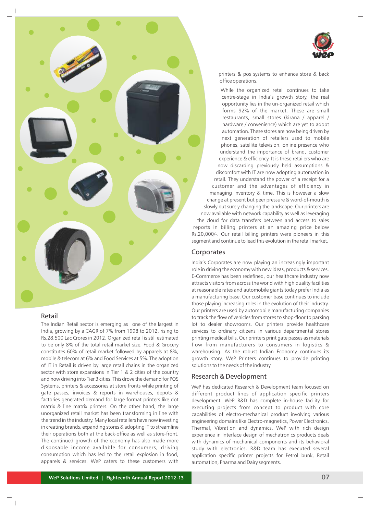

printers & pos systems to enhance store & back office operations.

While the organized retail continues to take centre-stage in India's growth story, the real opportunity lies in the un-organized retail which forms 92% of the market. These are small restaurants, small stores (kirana / apparel / hardware / convenience) which are yet to adopt automation. These stores are now being driven by next generation of retailers used to mobile phones, satellite television, online presence who understand the importance of brand, customer experience & efficiency. It is these retailers who are now discarding previously held assumptions & discomfort with IT are now adopting automation in retail. They understand the power of a receipt for a customer and the advantages of efficiency in managing inventory & time. This is however a slow change at present but peer pressure & word-of-mouth is slowly but surely changing the landscape. Our printers are now available with network capability as well as leveraging the cloud for data transfers between and access to sales reports in billing printers at an amazing price below Rs.20,000/-. Our retail billing printers were pioneers in this segment and continue to lead this evolution in the retail market.

### Corporates

India's Corporates are now playing an increasingly important role in driving the economy with new ideas, products & services. E-Commerce has been redefined, our healthcare industry now attracts visitors from across the world with high quality facilities at reasonable rates and automobile giants today prefer India as a manufacturing base. Our customer base continues to include those playing increasing roles in the evolution of their industry. Our printers are used by automobile manufacturing companies to track the flow of vehicles from stores to shop-floor to parking lot to dealer showrooms. Our printers provide healthcare services to ordinary citizens in various departmental stores printing medical bills. Our printers print gate passes as materials flow from manufacturers to consumers in logistics & warehousing. As the robust Indian Economy continues its growth story, WeP Printers continues to provide printing solutions to the needs of the industry

### Research & Development

WeP has dedicated Research & Development team focused on different product lines of application specific printers development. WeP R&D has complete in-house facility for executing projects from concept to product with core capabilities of electro-mechanical product involving various engineering domains like Electro-magnetics, Power Electronics, Thermal, Vibration and dynamics. WeP with rich design experience in Interface design of mechatronics products deals with dynamics of mechanical components and its behavioral study with electronics. R&D team has executed several application specific printer projects for Petrol bunk, Retail automation, Pharma and Dairy segments.

# Retail

The Indian Retail sector is emerging as one of the largest in India, growing by a CAGR of 7% from 1998 to 2012, rising to Rs.28,500 Lac Crores in 2012. Organized retail is still estimated to be only 8% of the total retail market size. Food & Grocery constitutes 60% of retail market followed by apparels at 8%, mobile & telecom at 6% and Food Services at 5%. The adoption of IT in Retail is driven by large retail chains in the organized sector with store expansions in Tier 1 & 2 cities of the country and now driving into Tier 3 cities. This drove the demand for POS Systems, printers & accessories at store fronts while printing of gate passes, invoices & reports in warehouses, depots & factories generated demand for large format printers like dot matrix & line matrix printers. On the other hand, the large unorganized retail market has been transforming in line with the trend in the industry. Many local retailers have now investing in creating brands, expanding stores & adopting IT to streamline their operations both at the back-office as well as store-front. The continued growth of the economy has also made more disposable income available for consumers, driving consumption which has led to the retail explosion in food, apparels & services. WeP caters to these customers with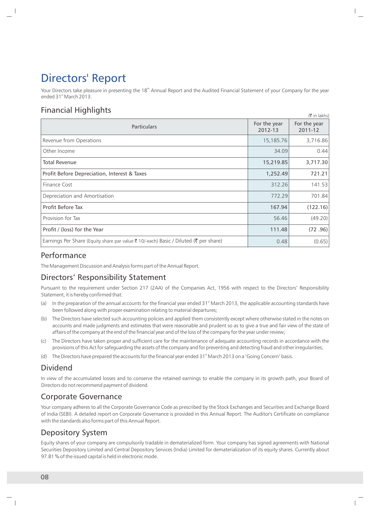# Directors' Report

Your Directors take pleasure in presenting the 18<sup>th</sup> Annual Report and the Audited Financial Statement of your Company for the year ended 31<sup>st</sup> March 2013.

 $\sqrt{2}$  in lattice

# Financial Highlights

| <b>Particulars</b>                                                                   | For the year<br>2012-13 | For the year<br>2011-12 |
|--------------------------------------------------------------------------------------|-------------------------|-------------------------|
| Revenue from Operations                                                              | 15,185.76               | 3,716.86                |
| Other Income                                                                         | 34.09                   | 0.44                    |
| <b>Total Revenue</b>                                                                 | 15,219.85               | 3,717.30                |
| Profit Before Depreciation, Interest & Taxes                                         | 1,252.49                | 721.21                  |
| Finance Cost                                                                         | 312.26                  | 141.53                  |
| Depreciation and Amortisation                                                        | 772.29                  | 701.84                  |
| Profit Before Tax                                                                    | 167.94                  | (122.16)                |
| Provision for Tax                                                                    | 56.46                   | (49.20)                 |
| Profit / (loss) for the Year                                                         | 111.48                  | (72.96)                 |
| Earnings Per Share (Equity share par value ₹ 10/-each) Basic / Diluted (₹ per share) | 0.48                    | (0.65)                  |

# Performance

The Management Discussion and Analysis forms part of the Annual Report.

# Directors' Responsibility Statement

Pursuant to the requirement under Section 217 (2AA) of the Companies Act, 1956 with respect to the Directors' Responsibility Statement, it is hereby confirmed that:

- (a) In the preparation of the annual accounts for the financial year ended  $31<sup>st</sup>$  March 2013, the applicable accounting standards have been followed along with proper examination relating to material departures;
- (b) The Directors have selected such accounting policies and applied them consistently except where otherwise stated in the notes on accounts and made judgments and estimates that were reasonable and prudent so as to give a true and fair view of the state of affairs of the company at the end of the financial year and of the loss of the company for the year under review;
- (c) The Directors have taken proper and sufficient care for the maintenance of adequate accounting records in accordance with the provisions of this Act for safeguarding the assets of the company and for preventing and detecting fraud and other irregularities;
- (d) The Directors have prepared the accounts for the financial year ended 31<sup>st</sup> March 2013 on a 'Going Concern' basis.

# Dividend

In view of the accumulated losses and to conserve the retained earnings to enable the company in its growth path, your Board of Directors do not recommend payment of dividend.

# Corporate Governance

Your company adheres to all the Corporate Governance Code as prescribed by the Stock Exchanges and Securities and Exchange Board of India (SEBI). A detailed report on Corporate Governance is provided in this Annual Report. The Auditor's Certificate on compliance with the standards also forms part of this Annual Report.

# Depository System

Equity shares of your company are compulsorily tradable in dematerialized form. Your company has signed agreements with National Securities Depository Limited and Central Depository Services (India) Limited for dematerialization of its equity shares. Currently about 97.81 % of the issued capital is held in electronic mode.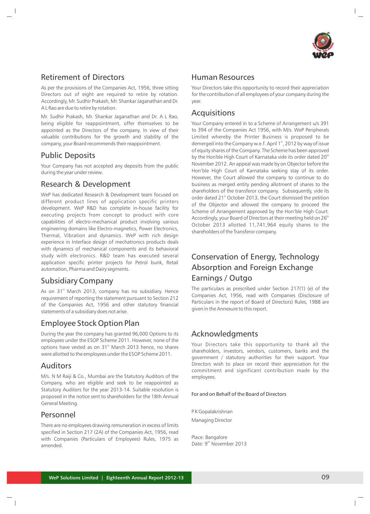

# Retirement of Directors

As per the provisions of the Companies Act, 1956, three sitting Directors out of eight are required to retire by rotation. Accordingly, Mr. Sudhir Prakash, Mr. Shankar Jaganathan and Dr. A L Rao are due to retire by rotation.

Mr. Sudhir Prakash, Mr. Shankar Jaganathan and Dr. A L Rao, being eligible for reappointment, offer themselves to be appointed as the Directors of the company. In view of their valuable contributions for the growth and stability of the company, your Board recommends their reappointment.

# Public Deposits

Your Company has not accepted any deposits from the public during the year under review.

# Research & Development

WeP has dedicated Research & Development team focused on different product lines of application specific printers development. WeP R&D has complete in-house facility for executing projects from concept to product with core capabilities of electro-mechanical product involving various engineering domains like Electro-magnetics, Power Electronics, Thermal, Vibration and dynamics. WeP with rich design experience in Interface design of mechatronics products deals with dynamics of mechanical components and its behavioral study with electronics. R&D team has executed several application specific printer projects for Petrol bunk, Retail automation, Pharma and Dairy segments.

# Subsidiary Company

As on  $31<sup>st</sup>$  March 2013, company has no subsidiary. Hence requirement of reporting the statement pursuant to Section 212 of the Companies Act, 1956 and other statutory financial statements of a subsidiary does not arise.

# Employee Stock Option Plan

During the year the company has granted 96,000 Options to its employees under the ESOP Scheme 2011. However, none of the options have vested as on  $31<sup>st</sup>$  March 2013 hence, no shares were allotted to the employees under the ESOP Scheme 2011.

# Auditors

M/s. N M Raiji & Co., Mumbai are the Statutory Auditors of the Company, who are eligible and seek to be reappointed as Statutory Auditors for the year 2013-14. Suitable resolution is proposed in the notice sent to shareholders for the 18th Annual General Meeting.

# Personnel

There are no employees drawing remuneration in excess of limits specified in Section 217 (2A) of the Companies Act, 1956, read with Companies (Particulars of Employees) Rules, 1975 as amended.

# Human Resources

Your Directors take this opportunity to record their appreciation for the contribution of all employees of your company during the year.

# Acquisitions

Your Company entered in to a Scheme of Arrangement u/s 391 to 394 of the Companies Act 1956, with M/s. WeP Peripherals Limited whereby the Printer Business is proposed to be demerged into the Company w.e.f. April 1<sup>st</sup>, 2012 by way of issue of equity shares of the Company. The Scheme has been approved by the Hon'ble High Court of Karnataka vide its order dated 20<sup>th</sup> November 2012. An appeal was made by on Objector before the Hon'ble High Court of Karnataka seeking stay of its order. However, the Court allowed the company to continue to do business as merged entity pending allotment of shares to the shareholders of the transferor company. Subsequently, vide its order dated 21<sup>st</sup> October 2013, the Court dismissed the petition of the Objector and allowed the company to proceed the Scheme of Arrangement approved by the Hon'ble High Court. Accordingly, your Board of Directors at their meeting held on 26<sup>th</sup> October 2013 allotted 11,741,964 equity shares to the shareholders of the Transferor company.

# Conservation of Energy, Technology Absorption and Foreign Exchange Earnings / Outgo

The particulars as prescribed under Section 217(1) (e) of the Companies Act, 1956, read with Companies (Disclosure of Particulars in the report of Board of Directors) Rules, 1988 are given in the Annexure to this report.

# Acknowledgments

Your Directors take this opportunity to thank all the shareholders, investors, vendors, customers, banks and the government / statutory authorities for their support. Your Directors wish to place on record their appreciation for the commitment and significant contribution made by the employees.

### For and on Behalf of the Board of Directors

P K Gopalakrishnan Managing Director

Place: Bangalore Date: 9<sup>th</sup> November 2013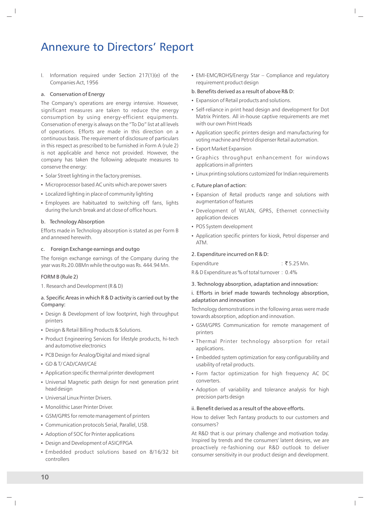# Annexure to Directors' Report

I. Information required under Section 217(1)(e) of the Companies Act, 1956

#### a. Conservation of Energy

The Company's operations are energy intensive. However, significant measures are taken to reduce the energy consumption by using energy-efficient equipments. Conservation of energy is always on the "To Do" list at all levels of operations. Efforts are made in this direction on a continuous basis. The requirement of disclosure of particulars in this respect as prescribed to be furnished in Form A (rule 2) is not applicable and hence not provided. However, the company has taken the following adequate measures to conserve the energy:

- Solar Street lighting in the factory premises.
- Microprocessor based AC units which are power savers
- Localized lighting in place of community lighting
- Employees are habituated to switching off fans, lights during the lunch break and at close of office hours.

#### b. Technology Absorption

Efforts made in Technology absorption is stated as per Form B and annexed herewith.

#### c. Foreign Exchange earnings and outgo

The foreign exchange earnings of the Company during the year was Rs.20.08Mn while the outgo was Rs. 444.94 Mn.

#### FORM B (Rule 2)

1. Research and Development (R & D)

### a. Specific Areas in which R & D activity is carried out by the Company:

- Design & Development of low footprint, high throughput printers
- Design & Retail Billing Products & Solutions.
- Product Engineering Services for lifestyle products, hi-tech and automotive electronics
- PCB Design for Analog/Digital and mixed signal
- GD & T/ CAD/CAM/CAE
- Application specific thermal printer development
- Universal Magnetic path design for next generation print head design
- Universal Linux Printer Drivers.
- Monolithic Laser Printer Driver.
- GSM/GPRS for remote management of printers
- Communication protocols Serial, Parallel, USB.
- Adoption of SOC for Printer applications
- Design and Development of ASIC/FPGA
- Embedded product solutions based on 8/16/32 bit controllers
- EMI-EMC/ROHS/Energy Star Compliance and regulatory requirement product design
- b. Benefits derived as a result of above R& D:
- Expansion of Retail products and solutions.
- Self-reliance in print head design and development for Dot Matrix Printers. All in-house captive requirements are met with our own Print Heads
- Application specific printers design and manufacturing for voting machine and Petrol dispenser Retail automation.
- Export Market Expansion
- Graphics throughput enhancement for windows applications in all printers
- Linux printing solutions customized for Indian requirements
- c. Future plan of action:
- Expansion of Retail products range and solutions with augmentation of features
- Development of WLAN, GPRS, Ethernet connectivity application devices
- POS System development

Expenditure

 Application specific printers for kiosk, Petrol dispenser and ATM.

### 2. Expenditure incurred on R & D:

$$
\div
$$
  $\overline{z}$  5.25 Mr

R & D Expenditure as % of total turnover : 0.4%

3. Technology absorption, adaptation and innovation:

### i. Efforts in brief made towards technology absorption, adaptation and innovation

Technology demonstrations in the following areas were made towards absorption, adoption and innovation.

- GSM/GPRS Communication for remote management of printers
- Thermal Printer technology absorption for retail applications.
- Embedded system optimization for easy configurability and usability of retail products.
- Form factor optimization for high frequency AC DC converters.
- Adoption of variability and tolerance analysis for high precision parts design

#### ii. Benefit derived as a result of the above efforts.

How to deliver Tech Fantasy products to our customers and consumers?

At R&D that is our primary challenge and motivation today. Inspired by trends and the consumers' latent desires, we are proactively re-fashioning our R&D outlook to deliver consumer sensitivity in our product design and development.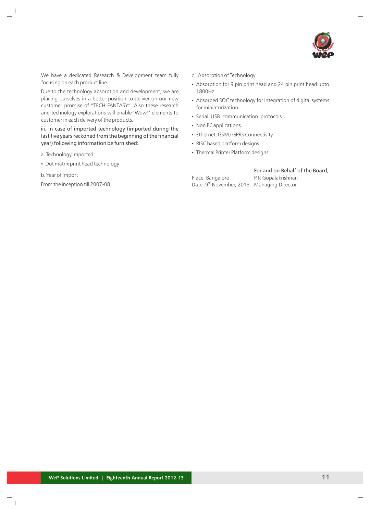

We have a dedicated Research & Development team fully focusing on each product line.

Due to the technology absorption and development, we are placing ourselves in a better position to deliver on our new customer promise of "TECH FANTASY". Also these research and technology explorations will enable 'Wow!' elements to customer in each delivery of the products.

iii. In case of imported technology (imported during the last five years reckoned from the beginning of the financial year) following information be furnished:

- a. Technology imported:
- Dot matrix print head technology

b. Year of Import

From the inception till 2007-08.

- c. Absorption of Technology
- Absorption for 9 pin print head and 24 pin print head upto 1800Hz
- Absorbed SOC technology for integration of digital systems for miniaturization
- Serial, USB communication protocols
- Non PC applications
- Ethernet, GSM / GPRS Connectivity
- RISC based platform designs
- Thermal Printer Platform designs

|                                                        | For and on Behalf of the Board. |
|--------------------------------------------------------|---------------------------------|
| Place: Bangalore                                       | P K Gopalakrishnan              |
| Date: 9 <sup>th</sup> November, 2013 Managing Director |                                 |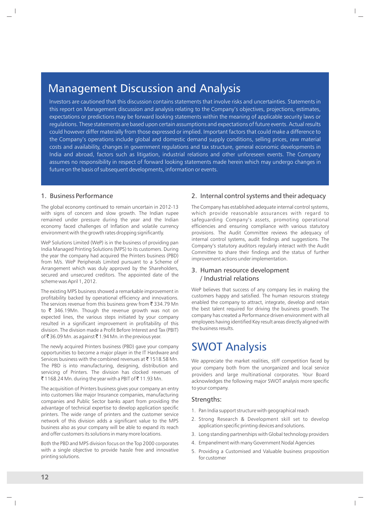# Management Discussion and Analysis

Investors are cautioned that this discussion contains statements that involve risks and uncertainties. Statements in this report on Management discussion and analysis relating to the Company's objectives, projections, estimates, expectations or predictions may be forward looking statements within the meaning of applicable security laws or regulations. These statements are based upon certain assumptions and expectations of future events. Actual results could however differ materially from those expressed or implied. Important factors that could make a difference to the Company's operations include global and domestic demand supply conditions, selling prices, raw material costs and availability, changes in government regulations and tax structure, general economic developments in India and abroad, factors such as litigation, industrial relations and other unforeseen events. The Company assumes no responsibility in respect of forward looking statements made herein which may undergo changes in future on the basis of subsequent developments, information or events.

### 1. Business Performance

The global economy continued to remain uncertain in 2012-13 with signs of concern and slow growth. The Indian rupee remained under pressure during the year and the Indian economy faced challenges of Inflation and volatile currency environment with the growth rates dropping significantly.

WeP Solutions Limited (WeP) is in the business of providing pan India Managed Printing Solutions (MPS) to its customers. During the year the company had acquired the Printers business (PBD) from M/s. WeP Peripherals Limited pursuant to a Scheme of Arrangement which was duly approved by the Shareholders, secured and unsecured creditors. The appointed date of the scheme was April 1, 2012.

The existing MPS business showed a remarkable improvement in profitability backed by operational efficiency and innovations. The services revenue from this business grew from  $\bar{\tau}$  334.79 Mn to  $\bar{\tau}$  346.19Mn. Though the revenue growth was not on expected lines, the various steps initiated by your company resulted in a significant improvement in profitability of this division. The division made a Profit Before Interest and Tax (PBIT) of  $\bar{\mathfrak{c}}$  36.09 Mn. as against  $\bar{\mathfrak{c}}$  1.94 Mn. in the previous year.

The newly acquired Printers business (PBD) gave your company opportunities to become a major player in the IT Hardware and Services business with the combined revenues at  $\bar{\tau}$  1518.58 Mn. The PBD is into manufacturing, designing, distribution and servicing of Printers. The division has clocked revenues of ₹1168.24 Mn. during the year with a PBIT of ₹11.93 Mn.

The acquisition of Printers business gives your company an entry into customers like major Insurance companies, manufacturing companies and Public Sector banks apart from providing the advantage of technical expertise to develop application specific printers. The wide range of printers and the customer service network of this division adds a significant value to the MPS business also as your company will be able to expand its reach and offer customers its solutions in many more locations.

Both the PBD and MPS division focus on the Top 2000 corporates with a single objective to provide hassle free and innovative printing solutions.

### 2. Internal control systems and their adequacy

The Company has established adequate internal control systems, which provide reasonable assurances with regard to safeguarding Company's assets, promoting operational efficiencies and ensuring compliance with various statutory provisions. The Audit Committee reviews the adequacy of internal control systems, audit findings and suggestions. The Company's statutory auditors regularly interact with the Audit Committee to share their findings and the status of further improvement actions under implementation.

### 3. Human resource development / Industrial relations

WeP believes that success of any company lies in making the customers happy and satisfied. The human resources strategy enabled the company to attract, integrate, develop and retain the best talent required for driving the business growth. The company has created a Performance driven environment with all employees having identified Key result areas directly aligned with the business results.

# SWOT Analysis

We appreciate the market realities, stiff competition faced by your company both from the unorganized and local service providers and large multinational corporates. Your Board acknowledges the following major SWOT analysis more specific to your company.

## Strengths:

- 1. Pan India support structure with geographical reach
- 2. Strong Research & Development skill set to develop application specific printing devices and solutions.
- 3. Long standing partnerships with Global technology providers
- 4. Empanelment with many Government Nodal Agencies
- 5. Providing a Customised and Valuable business proposition for customer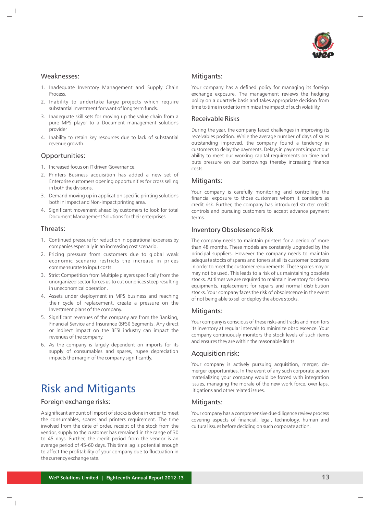

## Weaknesses:

- 1. Inadequate Inventory Management and Supply Chain Process.
- 2. Inability to undertake large projects which require substantial investment for want of long term funds.
- 3. Inadequate skill sets for moving up the value chain from a pure MPS player to a Document management solutions provider
- 4. Inability to retain key resources due to lack of substantial revenue growth.

### Opportunities:

- 1. Increased focus on IT driven Governance.
- 2. Printers Business acquisition has added a new set of Enterprise customers opening opportunities for cross selling in both the divisions.
- 3. Demand moving up in application specific printing solutions both in Impact and Non-Impact printing area.
- 4. Significant movement ahead by customers to look for total Document Management Solutions for their enterprises

### Threats:

- 1. Continued pressure for reduction in operational expenses by companies especially in an increasing cost scenario.
- 2. Pricing pressure from customers due to global weak economic scenario restricts the increase in prices commensurate to input costs.
- 3. Strict Competition from Multiple players specifically from the unorganized sector forces us to cut our prices steep resulting in uneconomical operation.
- 4. Assets under deployment in MPS business and reaching their cycle of replacement, create a pressure on the Investment plans of the company.
- 5. Significant revenues of the company are from the Banking, Financial Service and Insurance (BFSI) Segments. Any direct or indirect impact on the BFSI industry can impact the revenues of the company.
- 6. As the company is largely dependent on imports for its supply of consumables and spares, rupee depreciation impacts the margin of the company significantly.

# Risk and Mitigants

### Foreign exchange risks:

A significant amount of Import of stocks is done in order to meet the consumables, spares and printers requirement. The time involved from the date of order, receipt of the stock from the vendor, supply to the customer has remained in the range of 30 to 45 days. Further, the credit period from the vendor is an average period of 45-60 days. This time lag is potential enough to affect the profitability of your company due to fluctuation in the currency exchange rate.

### Mitigants:

Your company has a defined policy for managing its foreign exchange exposure. The management reviews the hedging policy on a quarterly basis and takes appropriate decision from time to time in order to minimize the impact of such volatility.

### Receivable Risks

During the year, the company faced challenges in improving its receivables position. While the average number of days of sales outstanding improved, the company found a tendency in customers to delay the payments. Delays in payments impact our ability to meet our working capital requirements on time and puts pressure on our borrowings thereby increasing finance costs.

### Mitigants:

Your company is carefully monitoring and controlling the financial exposure to those customers whom it considers as credit risk. Further, the company has introduced stricter credit controls and pursuing customers to accept advance payment terms.

### Inventory Obsolesence Risk

The company needs to maintain printers for a period of more than 48 months. These models are constantly upgraded by the principal suppliers. However the company needs to maintain adequate stocks of spares and toners at all its customer locations in order to meet the customer requirements. These spares may or may not be used. This leads to a risk of us maintaining obsolete stocks. At times we are required to maintain inventory for demo equipments, replacement for repairs and normal distribution stocks. Your company faces the risk of obsolescence in the event of not being able to sell or deploy the above stocks.

### Mitigants:

Your company is conscious of these risks and tracks and monitors its inventory at regular intervals to minimize obsolescence. Your company continuously monitors the stock levels of such items and ensures they are within the reasonable limits.

### Acquisition risk:

Your company is actively pursuing acquisition, merger, demerger opportunities. In the event of any such corporate action materializing your company would be forced with integration issues, managing the morale of the new work force, over laps, litigations and other related issues.

## Mitigants:

Your company has a comprehensive due diligence review process covering aspects of financial, legal, technology, human and cultural issues before deciding on such corporate action.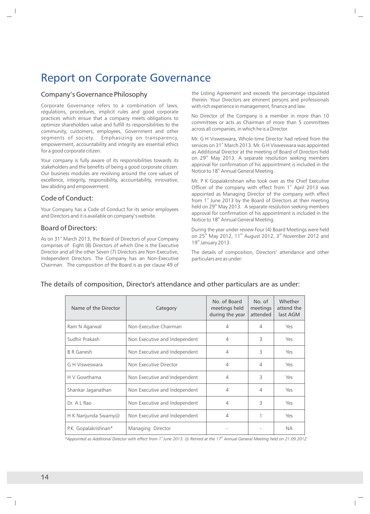# Report on Corporate Governance

### Company's Governance Philosophy

Corporate Governance refers to a combination of laws, regulations, procedures, implicit rules and good corporate practices which ensue that a company meets obligations to optimize shareholders value and fulfill its responsibilities to the community, customers, employees, Government and other segments of society. Emphasizing on transparency, empowerment, accountability and integrity are essential ethics for a good corporate citizen.

Your company is fully aware of its responsibilities towards its stakeholders and the benefits of being a good corporate citizen. Our business modules are revolving around the core values of excellence, integrity, responsibility, accountability, innovative, law abiding and empowerment.

### Code of Conduct:

Your Company has a Code of Conduct for its senior employees and Directors and it is available on company's website.

### Board of Directors:

As on 31<sup>st</sup> March 2013, the Board of Directors of your Company comprises of Eight (8) Directors of which One is the Executive Director and all the other Seven (7) Directors are Non-Executive, Independent Directors. The Company has an Non-Executive Chairman. The composition of the Board is as per clause 49 of the Listing Agreement and exceeds the percentage stipulated therein. Your Directors are eminent persons and professionals with rich experience in management, finance and law.

No Director of the Company is a member in more than 10 committees or acts as Chairman of more than 5 committees across all companies, in which he is a Director.

Mr. G H Visweswara, Whole-time Director had retired from the services on 31<sup>st</sup> March 2013. Mr. G H Visweswara was appointed as Additional Director at the meeting of Board of Directors held on 29<sup>th</sup> May 2013. A separate resolution seeking members approval for confirmation of his appointment is included in the Notice to 18<sup>th</sup> Annual General Meeting.

Mr. P K Gopalakrishnan who took over as the Chief Executive Officer of the company with effect from  $1<sup>st</sup>$  April 2013 was appointed as Managing Director of the company with effect from  $1<sup>st</sup>$  June 2013 by the Board of Directors at their meeting held on 29<sup>th</sup> May 2013. A separate resolution seeking members approval for confirmation of his appointment is included in the Notice to 18<sup>th</sup> Annual General Meeting.

During the year under review Four (4) Board Meetings were held on  $25<sup>th</sup>$  May 2012, 11<sup>th</sup> August 2012, 3<sup>rd</sup> November 2012 and  $19<sup>th</sup>$  January 2013.

The details of composition, Directors' attendance and other particulars are as under:

| Name of the Director   | Category                      | No. of Board<br>meetings held<br>during the year | No of<br>meetings<br>attended | Whether<br>attend the<br>last AGM |
|------------------------|-------------------------------|--------------------------------------------------|-------------------------------|-----------------------------------|
| Ram N Agarwal          | Non-Executive Chairman        | 4                                                | 4                             | Yes                               |
| Sudhir Prakash         | Non Executive and Independent | 4                                                | 3                             | Yes                               |
| <b>B R Ganesh</b>      | Non Executive and Independent | 4                                                | 3                             | Yes                               |
| G H Visweswara         | Non Executive Director        | 4                                                | 4                             | Yes                               |
| H V Gowthama           | Non Executive and Independent | 4                                                | 3                             | Yes                               |
| Shankar Jaganathan     | Non Executive and Independent | 4                                                | 4                             | Yes                               |
| Dr. A L Rao            | Non Executive and Independent | 4                                                | 3                             | Yes                               |
| H K Nanjunda Swamy $@$ | Non Executive and Independent | 4                                                |                               | Yes                               |
| P.K. Gopalakrishnan*   | Managing Director             |                                                  |                               | <b>NA</b>                         |

## The details of composition, Director's attendance and other particulars are as under:

*st th \*Appointed as Additional Director with effect from 1 June 2013. @ Retired at the 17 Annual General Meeting held on 21.09.2012*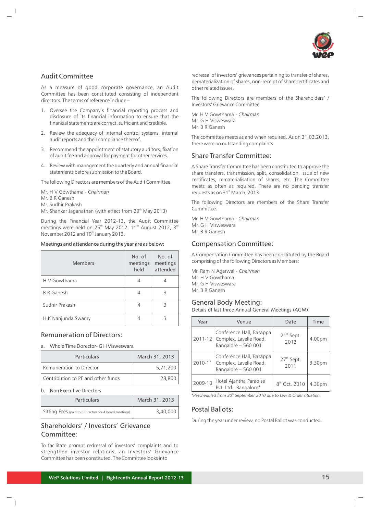

## Audit Committee

As a measure of good corporate governance, an Audit Committee has been constituted consisting of independent directors. The terms of reference include –

- 1. Oversee the Company's financial reporting process and disclosure of its financial information to ensure that the financial statements are correct, sufficient and credible.
- 2. Review the adequacy of internal control systems, internal audit reports and their compliance thereof.
- 3. Recommend the appointment of statutory auditors, fixation of audit fee and approval for payment for other services.
- 4. Review with management the quarterly and annual financial statements before submission to the Board.

The following Directors are members of the Audit Committee.

- Mr. H V Gowthama *Chairman*
- Mr. B R Ganesh
- Mr. Sudhir Prakash

Mr. Shankar Jaganathan (with effect from 29<sup>th</sup> May 2013)

During the Financial Year 2012-13, the Audit Committee meetings were held on 25<sup>th</sup> May 2012, 11<sup>th</sup> August 2012, 3<sup>rd</sup> November 2012 and 19<sup>th</sup> January 2013.

#### Meetings and attendance during the year are as below:

| <b>Members</b>     | No. of<br>meetings<br>held | No. of<br>meetings<br>attended |
|--------------------|----------------------------|--------------------------------|
| H V Gowthama       |                            |                                |
| <b>B R Ganesh</b>  |                            |                                |
| Sudhir Prakash     |                            | 3                              |
| H K Nanjunda Swamy |                            |                                |

### Remuneration of Directors:

#### a. Whole Time Dorector- G H Visweswara

| <b>Particulars</b>                 | March 31, 2013 |
|------------------------------------|----------------|
| Remuneration to Director           | 5,71,200       |
| Contribution to PF and other funds | 28,800         |

#### b. Non Executive Directors

| <b>Particulars</b>                                      | March 31, 2013 |
|---------------------------------------------------------|----------------|
| Sitting Fees (paid to 6 Directors for 4 board meetings) | 3,40,000       |

# Shareholders' / Investors' Grievance Committee:

To facilitate prompt redressal of investors' complaints and to strengthen investor relations, an Investors' Grievance Committee has been constituted. The Committee looks into

redressal of investors' grievances pertaining to transfer of shares, dematerialization of shares, non-receipt of share certificates and other related issues.

The following Directors are members of the Shareholders' / Investors' Grievance Committee

Mr. H V Gowthama - *Chairman* Mr. G H Visweswara Mr. B R Ganesh

The committee meets as and when required. As on 31.03.2013, there were no outstanding complaints.

## Share Transfer Committee:

A Share Transfer Committee has been constituted to approve the share transfers, transmission, split, consolidation, issue of new certificates, rematerialisation of shares, etc. The Committee meets as often as required. There are no pending transfer requests as on 31<sup>st</sup> March, 2013.

The following Directors are members of the Share Transfer Committee:

Mr. H V Gowthama - *Chairman* Mr. G H Visweswara Mr. B R Ganesh

## Compensation Committee:

A Compensation Committee has been constituted by the Board comprising of the following Directors as Members:

Mr. Ram N Agarwal - *Chairman* Mr. H V Gowthama Mr. G H Visweswara Mr. B R Ganesh

### General Body Meeting:

Details of last three Annual General Meetings (AGM):

| Year    | Venue                                                                     | Date                           | Time   |
|---------|---------------------------------------------------------------------------|--------------------------------|--------|
| 2011-12 | Conference Hall, Basappa<br>Complex, Lavelle Road,<br>Bangalore - 560 001 | 21 <sup>st</sup> Sept.<br>2012 | 4.00pm |
| 2010-11 | Conference Hall, Basappa<br>Complex, Lavelle Road,<br>Bangalore - 560 001 | 27 <sup>th</sup> Sept.<br>2011 | 3.30pm |
| 2009-10 | Hotel Ajantha Paradise<br>Pvt. Ltd., Bangalore*                           | 8 <sup>th</sup> Oct. 2010      | 4.30pm |

\*Rescheduled from 30<sup>th</sup> September 2010 due to Law & Order situation.

## Postal Ballots:

During the year under review, no Postal Ballot was conducted.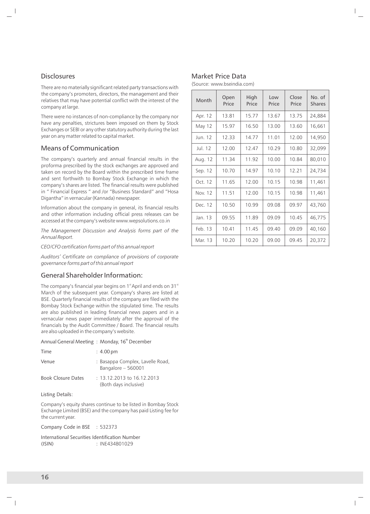## **Disclosures**

There are no materially significant related party transactions with the company's promoters, directors, the management and their relatives that may have potential conflict with the interest of the company at large.

There were no instances of non-compliance by the company nor have any penalties, strictures been imposed on them by Stock Exchanges or SEBI or any other statutory authority during the last year on any matter related to capital market.

## Means of Communication

The company's quarterly and annual financial results in the proforma prescribed by the stock exchanges are approved and taken on record by the Board within the prescribed time frame and sent forthwith to Bombay Stock Exchange in which the company's shares are listed. The financial results were published in " Financial Express " and /or "Business Standard" and "Hosa Digantha" in vernacular (Kannada) newspaper.

Information about the company in general, its financial results and other information including official press releases can be accessed at the company's website www.wepsolutions.co.in

*The Management Discussion and Analysis forms part of the Annual Report.*

#### *CEO/CFO certification forms part of this annual report*

*Auditors' Certificate on compliance of provisions of corporate governance forms part of this annual report*

### General Shareholder Information:

The company's financial year begins on  $1<sup>st</sup>$  April and ends on 31 $<sup>st</sup>$ </sup> March of the subsequent year. Company's shares are listed at BSE. Quarterly financial results of the company are filed with the Bombay Stock Exchange within the stipulated time. The results are also published in leading financial news papers and in a vernacular news paper immediately after the approval of the financials by the Audit Committee / Board. The financial results are also uploaded in the company's website.

Annual General Meeting : Monday, 16<sup>th</sup> December

| Time                      | : $4.00 \,\mathrm{pm}$                                 |
|---------------------------|--------------------------------------------------------|
| Venue                     | : Basappa Complex, Lavelle Road,<br>Bangalore - 560001 |
| <b>Book Closure Dates</b> | $: 13.12.2013$ to 16.12.2013<br>(Both days inclusive)  |

#### Listing Details:

Company's equity shares continue to be listed in Bombay Stock Exchange Limited (BSE) and the company has paid Listing fee for the current year.

Company Code in BSE : 532373

International Securities Identification Number (ISIN) : INE434B01029

### Market Price Data (Source: www.bseindia.com)

| Month   | Open<br>Price | High<br>Price | Low<br>Price | Close<br>Price | No. of<br><b>Shares</b> |
|---------|---------------|---------------|--------------|----------------|-------------------------|
| Apr. 12 | 13.81         | 15.77         | 13.67        | 13.75          | 24,884                  |
| May 12  | 15.97         | 16.50         | 13.00        | 13.60          | 16,661                  |
| Jun. 12 | 12.33         | 14.77         | 11.01        | 12.00          | 14,950                  |
| Jul. 12 | 12.00         | 12.47         | 10.29        | 10.80          | 32,099                  |
| Aug. 12 | 11.34         | 11.92         | 10.00        | 10.84          | 80,010                  |
| Sep. 12 | 10.70         | 14.97         | 10.10        | 12.21          | 24,734                  |
| Oct. 12 | 11.65         | 12.00         | 10.15        | 10.98          | 11,461                  |
| Nov. 12 | 11.51         | 12.00         | 10.15        | 10.98          | 11,461                  |
| Dec. 12 | 10.50         | 10.99         | 09.08        | 09.97          | 43,760                  |
| Jan. 13 | 09.55         | 11.89         | 09.09        | 10.45          | 46,775                  |
| Feb. 13 | 10.41         | 11.45         | 09.40        | 09.09          | 40,160                  |
| Mar. 13 | 10.20         | 10.20         | 09.00        | 09.45          | 20,372                  |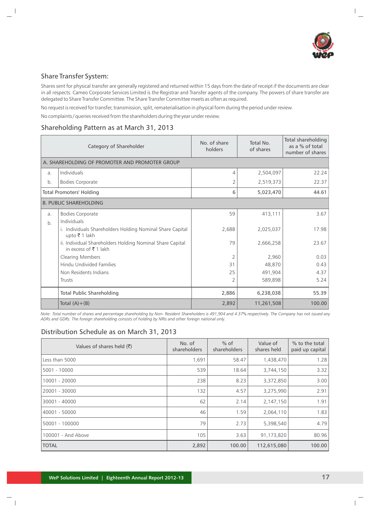

 $\overline{1}$ 

# Share Transfer System:

 $\overline{\phantom{a}}$ 

Shares sent for physical transfer are generally registered and returned within 15 days from the date of receipt if the documents are clear in all respects. Cameo Corporate Services Limited is the Registrar and Transfer agents of the company. The powers of share transfer are delegated to Share Transfer Committee. The Share Transfer Committee meets as often as required.

No request is received for transfer, transmission, split, rematerialisation in physical form during the period under review.

No complaints / queries received from the shareholders during the year under review.

# Shareholding Pattern as at March 31, 2013

|    | Category of Shareholder                                                                       | No. of share<br>holders | Total No.<br>of shares | Total shareholding<br>as a % of total<br>number of shares |
|----|-----------------------------------------------------------------------------------------------|-------------------------|------------------------|-----------------------------------------------------------|
|    | A. SHAREHOLDING OF PROMOTER AND PROMOTER GROUP                                                |                         |                        |                                                           |
| a. | Individuals                                                                                   | 4                       | 2,504,097              | 22.24                                                     |
| b. | <b>Bodies Corporate</b>                                                                       | 2                       | 2,519,373              | 22.37                                                     |
|    | <b>Total Promoters' Holding</b>                                                               | 6                       | 5,023,470              | 44.61                                                     |
|    | <b>B. PUBLIC SHAREHOLDING</b>                                                                 |                         |                        |                                                           |
| a. | <b>Bodies Corporate</b>                                                                       | 59                      | 413,111                | 3.67                                                      |
| b. | Individuals                                                                                   |                         |                        |                                                           |
|    | i. Individuals Shareholders Holding Nominal Share Capital<br>upto ₹1 lakh                     | 2,688                   | 2,025,037              | 17.98                                                     |
|    | ii. Individual Shareholders Holding Nominal Share Capital<br>in excess of $\bar{\tau}$ 1 lakh | 79                      | 2,666,258              | 23.67                                                     |
|    | Clearing Members                                                                              | 2                       | 2,960                  | 0.03                                                      |
|    | Hindu Undivided Families                                                                      | 31                      | 48,870                 | 0.43                                                      |
|    | Non Residents Indians                                                                         | 25                      | 491,904                | 4.37                                                      |
|    | Trusts                                                                                        | 2                       | 589,898                | 5.24                                                      |
|    | <b>Total Public Shareholding</b>                                                              | 2,886                   | 6,238,038              | 55.39                                                     |
|    | Total $(A)+(B)$                                                                               | 2,892                   | 11,261,508             | 100.00                                                    |

*Note: Total number of shares and percentage shareholding by Non- Resident Shareholders is 491,904 and 4.37% respectively. The Company has not issued any ADRs and GDRs. The foreign shareholding consists of holding by NRIs and other foreign national only.*

# Distribution Schedule as on March 31, 2013

| Values of shares held $(\bar{\zeta})$ | No. of<br>shareholders | $%$ of<br>shareholders | Value of<br>shares held | % to the total<br>paid up capital |
|---------------------------------------|------------------------|------------------------|-------------------------|-----------------------------------|
| Less than 5000                        | 1,691                  | 58.47                  | 1,438,470               | 1.28                              |
| 5001 - 10000                          | 539                    | 18.64                  | 3,744,150               | 3.32                              |
| 10001 - 20000                         | 238                    | 8.23                   | 3,372,850               | 3.00                              |
| 20001 - 30000                         | 132                    | 4.57                   | 3,275,990               | 2.91                              |
| 30001 - 40000                         | 62                     | 2.14                   | 2,147,150               | 1.91                              |
| 40001 - 50000                         | 46                     | 1.59                   | 2,064,110               | 1.83                              |
| 50001 - 100000                        | 79                     | 2.73                   | 5,398,540               | 4.79                              |
| 100001 - And Above                    | 105                    | 3.63                   | 91,173,820              | 80.96                             |
| <b>TOTAL</b>                          | 2,892                  | 100.00                 | 112,615,080             | 100.00                            |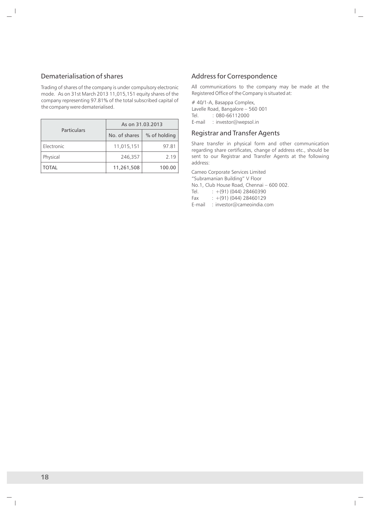# Dematerialisation of shares

 $\overline{\phantom{a}}$ 

Trading of shares of the company is under compulsory electronic mode. As on 31st March 2013 11,015,151 equity shares of the company representing 97.81% of the total subscribed capital of the company were dematerialised.

|                    | As on 31.03.2013 |              |
|--------------------|------------------|--------------|
| <b>Particulars</b> | No. of shares    | % of holding |
| Electronic         | 11,015,151       | 97.81        |
| Physical           | 246,357          | 2.19         |
| TOTAL              | 11,261,508       | 100.00       |

## Address for Correspondence

All communications to the company may be made at the Registered Office of the Company is situated at:

 $\mathbf{I}$ 

# 40/1-A, Basappa Complex, Lavelle Road, Bangalore – 560 001 Tel. : 080-66112000 E-mail : investor@wepsol.in

### Registrar and Transfer Agents

Share transfer in physical form and other communication regarding share certificates, change of address etc., should be sent to our Registrar and Transfer Agents at the following address:

Cameo Corporate Services Limited "Subramanian Building" V Floor No.1, Club House Road, Chennai – 600 002.

Tel.  $\div$  +(91) (044) 28460390

Fax  $\therefore$  +(91) (044) 28460129

E-mail : investor@cameoindia.com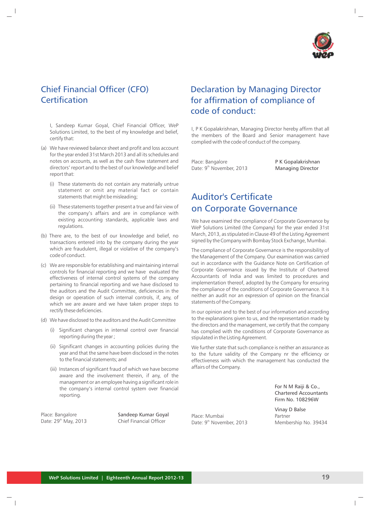

# Chief Financial Officer (CFO) **Certification**

I, Sandeep Kumar Goyal, Chief Financial Officer, WeP Solutions Limited, to the best of my knowledge and belief, certify that:

- (a) We have reviewed balance sheet and profit and loss account for the year ended 31st March 2013 and all its schedules and notes on accounts, as well as the cash flow statement and directors' report and to the best of our knowledge and belief report that:
	- (i) These statements do not contain any materially untrue statement or omit any material fact or contain statements that might be misleading;
	- (ii) These statements together present a true and fair view of the company's affairs and are in compliance with existing accounting standards, applicable laws and regulations.
- (b) There are, to the best of our knowledge and belief, no transactions entered into by the company during the year which are fraudulent, illegal or violative of the company's code of conduct.
- (c) We are responsible for establishing and maintaining internal controls for financial reporting and we have evaluated the effectiveness of internal control systems of the company pertaining to financial reporting and we have disclosed to the auditors and the Audit Committee, deficiencies in the design or operation of such internal controls, if, any, of which we are aware and we have taken proper steps to rectify these deficiencies.
- (d) We have disclosed to the auditors and the Audit Committee
	- (i) Significant changes in internal control over financial reporting during the year ;
	- (ii) Significant changes in accounting policies during the year and that the same have been disclosed in the notes to the financial statements; and
	- (iii) Instances of significant fraud of which we have become aware and the involvement therein, if any, of the management or an employee having a significant role in the company's internal control system over financial reporting.

Place: Bangalore **Sandeep Kumar Goyal** Date: 29<sup>th</sup> May, 2013 Chief Financial Officer

# Declaration by Managing Director for affirmation of compliance of code of conduct:

I, P K Gopalakrishnan, Managing Director hereby affirm that all the members of the Board and Senior management have complied with the code of conduct of the company.

Place: Bangalore **P K Gopalakrishnan** Date: 9<sup>th</sup> November, 2013 **Managing Director** 

# Auditor's Certificate on Corporate Governance

We have examined the compliance of Corporate Governance by WeP Solutions Limited (the Company) for the year ended 31st March, 2013, as stipulated in Clause 49 of the Listing Agreement signed by the Company with Bombay Stock Exchange, Mumbai.

The compliance of Corporate Governance is the responsibility of the Management of the Company. Our examination was carried out in accordance with the Guidance Note on Certification of Corporate Governance issued by the Institute of Chartered Accountants of India and was limited to procedures and implementation thereof, adopted by the Company for ensuring the compliance of the conditions of Corporate Governance. It is neither an audit nor an expression of opinion on the financial statements of the Company.

In our opinion and to the best of our information and according to the explanations given to us, and the representation made by the directors and the management, we certify that the company has complied with the conditions of Corporate Governance as stipulated in the Listing Agreement.

We further state that such compliance is neither an assurance as to the future validity of the Company nr the efficiency or effectiveness with which the management has conducted the affairs of the Company.

> For N M Raiji & Co., Chartered Accountants Firm No. 108296W

Place: Mumbai Partner Date: 9<sup>th</sup> November, 2013 Membership No. 39434

Vinay D Balse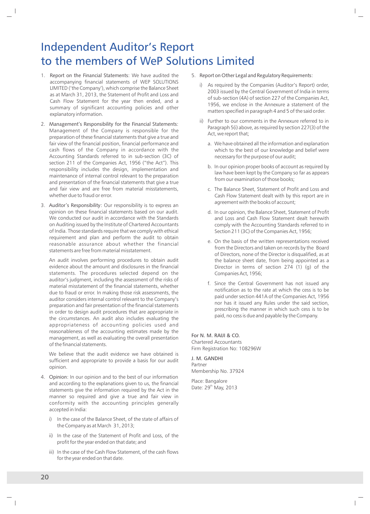# Independent Auditor's Report to the members of WeP Solutions Limited

- 1. Report on the Financial Statements: We have audited the accompanying financial statements of WEP SOLUTIONS LIMITED ('the Company'), which comprise the Balance Sheet as at March 31, 2013, the Statement of Profit and Loss and Cash Flow Statement for the year then ended, and a summary of significant accounting policies and other explanatory information.
- 2. Management's Responsibility for the Financial Statements: Management of the Company is responsible for the preparation of these financial statements that give a true and fair view of the financial position, financial performance and cash flows of the Company in accordance with the Accounting Standards referred to in sub-section (3C) of section 211 of the Companies Act, 1956 ("the Act"). This responsibility includes the design, implementation and maintenance of internal control relevant to the preparation and presentation of the financial statements that give a true and fair view and are free from material misstatements, whether due to fraud or error.
- 3. Auditor's Responsibility: Our responsibility is to express an opinion on these financial statements based on our audit. We conducted our audit in accordance with the Standards on Auditing issued by the Institute of Chartered Accountants of India. Those standards require that we comply with ethical requirement and plan and perform the audit to obtain reasonable assurance about whether the financial statements are free from material misstatement.

An audit involves performing procedures to obtain audit evidence about the amount and disclosures in the financial statements. The procedures selected depend on the auditor's judgment, including the assessment of the risks of material misstatement of the financial statements, whether due to fraud or error. In making those risk assessments, the auditor considers internal control relevant to the Company's preparation and fair presentation of the financial statements in order to design audit procedures that are appropriate in the circumstances. An audit also includes evaluating the appropriateness of accounting policies used and reasonableness of the accounting estimates made by the management, as well as evaluating the overall presentation of the financial statements.

We believe that the audit evidence we have obtained is sufficient and appropriate to provide a basis for our audit opinion.

- 4. Opinion: In our opinion and to the best of our information and according to the explanations given to us, the financial statements give the information required by the Act in the manner so required and give a true and fair view in conformity with the accounting principles generally accepted in India:
	- i) In the case of the Balance Sheet, of the state of affairs of the Company as at March 31, 2013;
	- ii) In the case of the Statement of Profit and Loss, of the profit for the year ended on that date; and
	- iii) In the case of the Cash Flow Statement, of the cash flows for the year ended on that date.
- 5. Report on Other Legal and Regulatory Requirements:
	- i) As required by the Companies (Auditor's Report) order, 2003 issued by the Central Government of India in terms of sub-section (4A) of section 227 of the Companies Act, 1956, we enclose in the Annexure a statement of the matters specified in paragraph 4 and 5 of the said order.
	- ii) Further to our comments in the Annexure referred to in Paragraph 5(i) above, as required by section 227(3) of the Act, we report that;
		- a. We have obtained all the information and explanation which to the best of our knowledge and belief were necessary for the purpose of our audit;
		- b. In our opinion proper books of account as required by law have been kept by the Company so far as appears from our examination of those books;
		- c. The Balance Sheet, Statement of Profit and Loss and Cash Flow Statement dealt with by this report are in agreement with the books of account;
		- d. In our opinion, the Balance Sheet, Statement of Profit and Loss and Cash Flow Statement dealt herewith comply with the Accounting Standards referred to in Section 211 (3C) of the Companies Act, 1956;
		- e. On the basis of the written representations received from the Directors and taken on records by the Board of Directors, none of the Director is disqualified, as at the balance sheet date, from being appointed as a Director in terms of section 274 (1) (g) of the Companies Act, 1956;
		- f. Since the Central Government has not issued any notification as to the rate at which the cess is to be paid under section 441A of the Companies Act, 1956 nor has it issued any Rules under the said section, prescribing the manner in which such cess is to be paid, no cess is due and payable by the Company.

For N. M. RAIJI & CO. Chartered Accountants Firm Registration No: 108296W

J. M. GANDHI Partner Membership No. 37924

Place: Bangalore Date: 29<sup>th</sup> May, 2013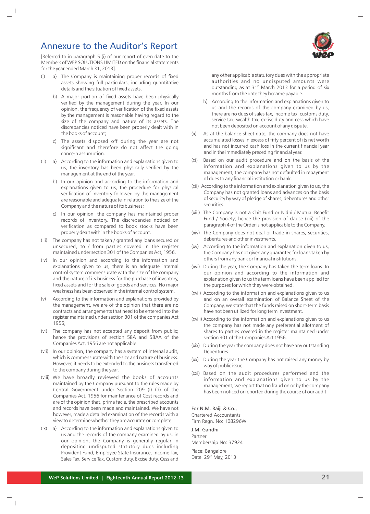# Annexure to the Auditor's Report

[Referred to in paragraph 5 (i) of our report of even date to the Members of WEP SOLUTIONS LIMITED on the financial statements for the year ended March 31, 2013].

- (i) a) The Company is maintaining proper records of fixed assets showing full particulars, including quantitative details and the situation of fixed assets.
	- b) A major portion of fixed assets have been physically verified by the management during the year. In our opinion, the frequency of verification of the fixed assets by the management is reasonable having regard to the size of the company and nature of its assets. The discrepancies noticed have been properly dealt with in the books of account;
	- c) The assets disposed off during the year are not significant and therefore do not affect the going concern assumption.
- (ii) a) According to the information and explanations given to us, the inventory has been physically verified by the management at the end of the year.
	- b) In our opinion and according to the information and explanations given to us, the procedure for physical verification of inventory followed by the management are reasonable and adequate in relation to the size of the Company and the nature of its business;
	- c) In our opinion, the company has maintained proper records of inventory. The discrepancies noticed on verification as compared to book stocks have been properly dealt with in the books of account.
- (iii) The company has not taken / granted any loans secured or unsecured, to / from parties covered in the register maintained under section 301 of the Companies Act, 1956.
- (iv) In our opinion and according to the information and explanations given to us, there is an adequate internal control system commensurate with the size of the company and the nature of its business for the purchase of inventory, fixed assets and for the sale of goods and services. No major weakness has been observed in the internal control system.
- (v) According to the information and explanations provided by the management, we are of the opinion that there are no contracts and arrangements that need to be entered into the register maintained under section 301 of the companies Act 1956;
- (vi) The company has not accepted any deposit from public; hence the provisions of section 58A and 58AA of the Companies Act, 1956 are not applicable.
- (vii) In our opinion, the company has a system of internal audit, which is commensurate with the size and nature of business. However, it needs to be extended to the business transferred to the company during the year.
- (viii) We have broadly reviewed the books of accounts maintained by the Company pursuant to the rules made by Central Government under Section 209 (I) (d) of the Companies Act, 1956 for maintenance of Cost records and are of the opinion that, prima facie, the prescribed accounts and records have been made and maintained. We have not however, made a detailed examination of the records with a view to determine whether they are accurate or complete.
- (ix) a) According to the information and explanations given to us and the records of the company examined by us, in our opinion, the Company is generally regular in depositing undisputed statutory dues including Provident Fund, Employee State Insurance, Income Tax, Sales Tax, Service Tax, Custom duty, Excise duty, Cess and



any other applicable statutory dues with the appropriate authorities and no undisputed amounts were outstanding as at  $31<sup>st</sup>$  March 2013 for a period of six months from the date they became payable.

- b) According to the information and explanations given to us and the records of the company examined by us, there are no dues of sales tax, income tax, customs duty, service tax, wealth tax, excise duty and cess which have not been deposited on account of any dispute.
- (x) As at the balance sheet date, the company does not have accumulated losses in excess of fifty percent of its net worth and has not incurred cash loss in the current financial year and in the immediately preceding financial year.
- (xi) Based on our audit procedure and on the basis of the information and explanations given to us by the management, the company has not defaulted in repayment of dues to any financial institution or bank.
- (xii) According to the information and explanation given to us, the Company has not granted loans and advances on the basis of security by way of pledge of shares, debentures and other securities.
- (xiii) The Company is not a Chit Fund or Nidhi / Mutual Benefit Fund / Society; hence the provision of clause (xiii) of the paragraph 4 of the Order is not applicable to the Company.
- (xiv) The Company does not deal or trade in shares, securities, debentures and other investments.
- (xv) According to the information and explanation given to us, the Company has not given any guarantee for loans taken by others from any bank or financial institutions.
- (xvi) During the year, the Company has taken the term loans. In our opinion and according to the information and explanation given to us the term loans have been applied for the purposes for which they were obtained.
- (xvii) According to the information and explanations given to us and on an overall examination of Balance Sheet of the Company, we state that the funds raised on short-term basis have not been utilized for long term investment.
- (xviii) According to the information and explanations given to us the company has not made any preferential allotment of shares to parties covered in the register maintained under section 301 of the Companies Act 1956.
- (xix) During the year the company does not have any outstanding Debentures.
- (xx) During the year the Company has not raised any money by way of public issue.
- (xxi) Based on the audit procedures performed and the information and explanations given to us by the management, we report that no fraud on or by the company has been noticed or reported during the course of our audit.

For N.M. Raiji & Co., Chartered Accountants

Firm Regn. No: 108296W

J.M. Gandhi Partner Membership No: 37924 Place: Bangalore Date: 29<sup>th</sup> May, 2013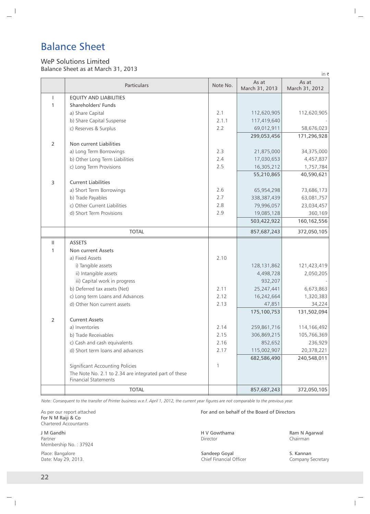# Balance Sheet

 $\mathcal{A}$ 

# WeP Solutions Limited

Balance Sheet as at March 31, 2013

|                |                                                                                      |          |                         | in $\bar{z}$            |
|----------------|--------------------------------------------------------------------------------------|----------|-------------------------|-------------------------|
|                | Particulars                                                                          | Note No. | As at<br>March 31, 2013 | As at<br>March 31, 2012 |
| T              | <b>EQUITY AND LIABILITIES</b>                                                        |          |                         |                         |
| 1              | Shareholders' Funds                                                                  |          |                         |                         |
|                | a) Share Capital                                                                     | 2.1      | 112,620,905             | 112,620,905             |
|                | b) Share Capital Suspense                                                            | 2.1.1    | 117,419,640             |                         |
|                | c) Reserves & Surplus                                                                | 2.2      | 69,012,911              | 58,676,023              |
| $\overline{2}$ | Non current Liabilities                                                              |          | 299,053,456             | 171,296,928             |
|                | a) Long Term Borrowings                                                              | 2.3      | 21,875,000              | 34,375,000              |
|                | b) Other Long Term Liabilities                                                       | 2.4      | 17,030,653              | 4,457,837               |
|                | c) Long Term Provisions                                                              | 2.5      | 16,305,212              | 1,757,784               |
|                |                                                                                      |          | 55,210,865              | 40,590,621              |
| 3              | <b>Current Liabilities</b>                                                           |          |                         |                         |
|                | a) Short Term Borrowings                                                             | 2.6      | 65,954,298              | 73,686,173              |
|                | b) Trade Payables                                                                    | 2.7      | 338,387,439             | 63,081,757              |
|                | c) Other Current Liabilities                                                         | 2.8      | 79,996,057              | 23,034,457              |
|                | d) Short Term Provisions                                                             | 2.9      | 19,085,128              | 360,169                 |
|                |                                                                                      |          | 503,422,922             | 160, 162, 556           |
|                | <b>TOTAL</b>                                                                         |          | 857,687,243             | 372,050,105             |
| Ш              | <b>ASSETS</b>                                                                        |          |                         |                         |
| 1              | Non current Assets                                                                   |          |                         |                         |
|                | a) Fixed Assets                                                                      | 2.10     |                         |                         |
|                | i) Tangible assets                                                                   |          | 128, 131, 862           | 121,423,419             |
|                | ii) Intangible assets                                                                |          | 4,498,728               | 2,050,205               |
|                | iii) Capital work in progress                                                        |          | 932,207                 |                         |
|                | b) Deferred tax assets (Net)                                                         | 2.11     | 25,247,441              | 6,673,863               |
|                | c) Long term Loans and Advances                                                      | 2.12     | 16,242,664              | 1,320,383               |
|                | d) Other Non current assets                                                          | 2.13     | 47,851                  | 34,224                  |
|                |                                                                                      |          | 175,100,753             | 131,502,094             |
| $\overline{2}$ | <b>Current Assets</b>                                                                |          |                         |                         |
|                | a) Inventories                                                                       | 2.14     | 259,861,716             | 114,166,492             |
|                | b) Trade Receivables                                                                 | 2.15     | 306,869,215             | 105,766,369             |
|                | c) Cash and cash equivalents                                                         | 2.16     | 852,652                 | 236,929                 |
|                | d) Short term loans and advances                                                     | 2.17     | 115,002,907             | 20,378,221              |
|                |                                                                                      |          | 682,586,490             | 240,548,011             |
|                | Significant Accounting Policies                                                      | 1        |                         |                         |
|                | The Note No. 2.1 to 2.34 are integrated part of these<br><b>Financial Statements</b> |          |                         |                         |
|                | <b>TOTAL</b>                                                                         |          | 857,687,243             | 372,050,105             |

*Note: Consequent to the transfer of Printer business w.e.f. April 1, 2012, the current year figures are not comparable to the previous year.*

As per our report attached<br>For N M Raiji & Co Chartered Accountants

J M Gandhi Partner Membership No. : 37924

Place: Bangalore Date: May 29, 2013. For and on behalf of the Board of Directors

H V Gowthama Director

Sandeep Goyal Chief Financial Officer Ram N Agarwal Chairman

 $\begin{array}{c} \hline \end{array}$ 

S. Kannan Company Secretary

 $\mathbb{L}$ 

 $\Box$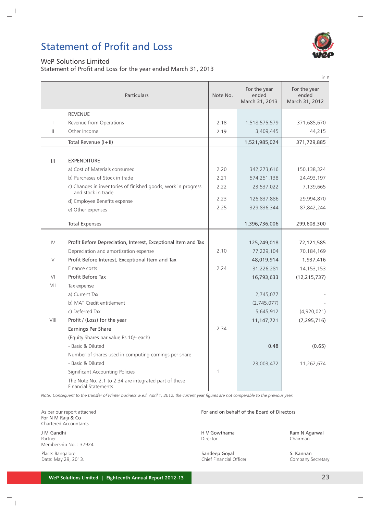# Statement of Profit and Loss



 $\begin{array}{c} \hline \end{array}$ 

# WeP Solutions Limited

 $\mathbb{R}$ 

Statement of Profit and Loss for the year ended March 31, 2013

|                                       |                                                                                      |          |                                         | in $\bar{z}$                            |
|---------------------------------------|--------------------------------------------------------------------------------------|----------|-----------------------------------------|-----------------------------------------|
|                                       | Particulars                                                                          | Note No. | For the year<br>ended<br>March 31, 2013 | For the year<br>ended<br>March 31, 2012 |
|                                       | <b>REVENUE</b>                                                                       |          |                                         |                                         |
|                                       | Revenue from Operations                                                              | 2.18     | 1,518,575,579                           | 371,685,670                             |
| $\mathbb{I}$                          | Other Income                                                                         | 2.19     | 3,409,445                               | 44,215                                  |
|                                       | Total Revenue (I+II)                                                                 |          | 1,521,985,024                           | 371,729,885                             |
|                                       |                                                                                      |          |                                         |                                         |
| $\begin{array}{c} \hline \end{array}$ | <b>EXPENDITURE</b>                                                                   |          |                                         |                                         |
|                                       | a) Cost of Materials consumed                                                        | 2.20     | 342,273,616                             | 150,138,324                             |
|                                       | b) Purchases of Stock in trade                                                       | 2.21     | 574,251,138                             | 24,493,197                              |
|                                       | c) Changes in inventories of finished goods, work in progress<br>and stock in trade  | 2.22     | 23,537,022                              | 7,139,665                               |
|                                       | d) Employee Benefits expense                                                         | 2.23     | 126,837,886                             | 29,994,870                              |
|                                       | e) Other expenses                                                                    | 2.25     | 329,836,344                             | 87,842,244                              |
|                                       | <b>Total Expenses</b>                                                                |          | 1,396,736,006                           | 299,608,300                             |
|                                       |                                                                                      |          |                                         |                                         |
| $\mathsf{IV}$                         | Profit Before Depreciation, Interest, Exceptional Item and Tax                       |          | 125,249,018                             | 72,121,585                              |
|                                       | Depreciation and amortization expense                                                | 2.10     | 77,229,104                              | 70,184,169                              |
| $\vee$                                | Profit Before Interest, Exceptional Item and Tax                                     |          | 48,019,914                              | 1,937,416                               |
|                                       | Finance costs                                                                        | 2.24     | 31,226,281                              | 14,153,153                              |
| V <sub>l</sub>                        | <b>Profit Before Tax</b>                                                             |          | 16,793,633                              | (12, 215, 737)                          |
| VII                                   | Tax expense                                                                          |          |                                         |                                         |
|                                       | a) Current Tax                                                                       |          | 2,745,077                               |                                         |
|                                       | b) MAT Credit entitlement                                                            |          | (2,745,077)                             |                                         |
|                                       | c) Deferred Tax                                                                      |          | 5,645,912                               | (4,920,021)                             |
| VIII                                  | Profit / (Loss) for the year                                                         |          | 11,147,721                              | (7, 295, 716)                           |
|                                       | Earnings Per Share                                                                   | 2.34     |                                         |                                         |
|                                       | (Equity Shares par value Rs 10/- each)                                               |          |                                         |                                         |
|                                       | - Basic & Diluted                                                                    |          | 0.48                                    | (0.65)                                  |
|                                       | Number of shares used in computing earnings per share                                |          |                                         |                                         |
|                                       | - Basic & Diluted                                                                    |          | 23,003,472                              | 11,262,674                              |
|                                       | Significant Accounting Policies                                                      | 1        |                                         |                                         |
|                                       | The Note No. 2.1 to 2.34 are integrated part of these<br><b>Financial Statements</b> |          |                                         |                                         |

*Note: Consequent to the transfer of Printer business w.e.f. April 1, 2012, the current year figures are not comparable to the previous year.*

For N M Raiji & Co Chartered Accountants

J M Gandhi Partner Membership No. : 37924

Place: Bangalore Date: May 29, 2013.

As per our report attached For and on behalf of the Board of Directors

H V Gowthama Director

Sandeep Goyal Chief Financial Officer Ram N Agarwal Chairman

S. Kannan Company Secretary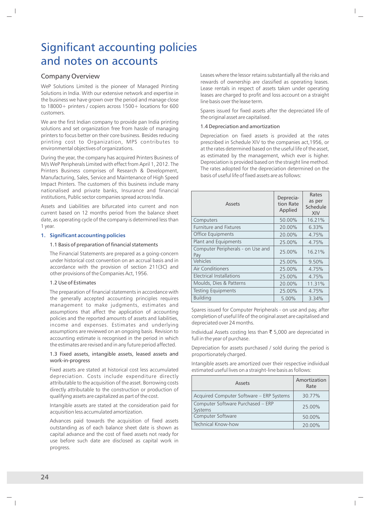# Significant accounting policies and notes on accounts

## Company Overview

WeP Solutions Limited is the pioneer of Managed Printing Solutions in India. With our extensive network and expertise in the business we have grown over the period and manage close to 18000+ printers / copiers across 1500+ locations for 600 customers.

We are the first Indian company to provide pan India printing solutions and set organization free from hassle of managing printers to focus better on their core business. Besides reducing printing cost to Organization, MPS contributes to environmental objectives of organizations.

During the year, the company has acquired Printers Business of M/s WeP Peripherals Limited with effect from April 1, 2012. The Printers Business comprises of Research & Development, Manufacturing, Sales, Service and Maintenance of High Speed Impact Printers. The customers of this business include many nationalised and private banks, Insurance and financial institutions, Public sector companies spread across India.

Assets and Liabilities are bifurcated into current and non current based on 12 months period from the balance sheet date, as operating cycle of the company is determined less than 1 year.

### **1. Significant accounting policies**

#### 1.1 Basis of preparation of financial statements

The Financial Statements are prepared as a going-concern under historical cost convention on an accrual basis and in accordance with the provision of section 211(3C) and other provisions of the Companies Act, 1956.

### 1.2 Use of Estimates

The preparation of financial statements in accordance with the generally accepted accounting principles requires management to make judgments, estimates and assumptions that affect the application of accounting policies and the reported amounts of assets and liabilities, income and expenses. Estimates and underlying assumptions are reviewed on an ongoing basis. Revision to accounting estimate is recognised in the period in which the estimates are revised and in any future period affected.

### 1.3 Fixed assets, intangible assets, leased assets and work-in-progress

Fixed assets are stated at historical cost less accumulated depreciation. Costs include expenditure directly attributable to the acquisition of the asset. Borrowing costs directly attributable to the construction or production of qualifying assets are capitalized as part of the cost.

Intangible assets are stated at the consideration paid for acquisition less accumulated amortization.

Advances paid towards the acquisition of fixed assets outstanding as of each balance sheet date is shown as capital advance and the cost of fixed assets not ready for use before such date are disclosed as capital work in progress.

Leases where the lessor retains substantially all the risks and rewards of ownership are classified as operating leases. Lease rentals in respect of assets taken under operating leases are charged to profit and loss account on a straight line basis over the lease term.

Spares issued for fixed assets after the depreciated life of the original asset are capitalised.

### 1.4 Depreciation and amortization

Depreciation on fixed assets is provided at the rates prescribed in Schedule XIV to the companies act,1956, or at the rates determined based on the useful life of the asset, as estimated by the management, which ever is higher. Depreciation is provided based on the straight line method. The rates adopted for the depreciation determined on the basis of useful life of fixed assets are as follows:

| <b>Assets</b>                            | Deprecia-<br>tion Rate<br>Applied | Rates<br>as per<br>Schedule<br><b>XIV</b> |
|------------------------------------------|-----------------------------------|-------------------------------------------|
| Computers                                | 50.00%                            | 16.21%                                    |
| <b>Furniture and Fixtures</b>            | 20.00%                            | 6.33%                                     |
| Office Equipments                        | 20.00%                            | 4.75%                                     |
| Plant and Equipments                     | 25.00%                            | 4.75%                                     |
| Computer Peripherals - on Use and<br>Pay | 25.00%                            | 16.21%                                    |
| Vehicles                                 | 25.00%                            | 9.50%                                     |
| Air Conditioners                         | 25.00%                            | 4.75%                                     |
| Electrical Installations                 | 25.00%                            | 4.75%                                     |
| Moulds, Dies & Patterns                  | 20.00%                            | 11.31%                                    |
| <b>Testing Equipments</b>                | 25.00%                            | 4.75%                                     |
| <b>Building</b>                          | 5.00%                             | 3.34%                                     |

Spares issued for Computer Peripherals - on use and pay, after completion of useful life of the original asset are capitalised and depreciated over 24 months.

Individual Assets costing less than  $\overline{\xi}$  5,000 are depreciated in full in the year of purchase.

Depreciation for assets purchased / sold during the period is proportionately charged.

Intangible assets are amortized over their respective individual estimated useful lives on a straight-line basis as follows:

| Assets                                       | Amortization<br>Rate |
|----------------------------------------------|----------------------|
| Acquired Computer Software - ERP Systems     | 30.77%               |
| Computer Software Purchased - ERP<br>Systems | 25.00%               |
| Computer Software                            | 50.00%               |
| Technical Know-how                           | 20.00%               |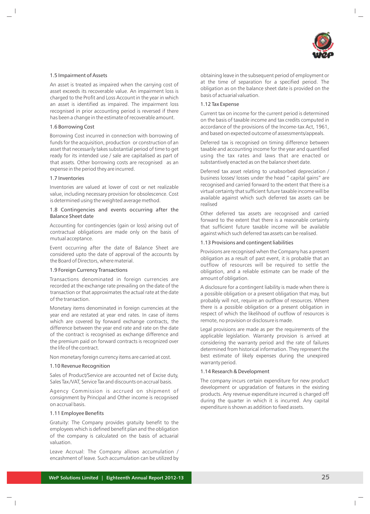

#### 1.5 Impairment of Assets

An asset is treated as impaired when the carrying cost of asset exceeds its recoverable value. An impairment loss is charged to the Profit and Loss Account in the year in which an asset is identified as impaired. The impairment loss recognised in prior accounting period is reversed if there has been a change in the estimate of recoverable amount.

#### 1.6 Borrowing Cost

Borrowing Cost incurred in connection with borrowing of funds for the acquisition, production or construction of an asset that necessarily takes substantial period of time to get ready for its intended use / sale are capitalised as part of that assets. Other borrowing costs are recognised as an expense in the period they are incurred.

#### 1.7 Inventories

Inventories are valued at lower of cost or net realizable value, including necessary provision for obsolescence. Cost is determined using the weighted average method.

#### 1.8 Contingencies and events occurring after the Balance Sheet date

Accounting for contingencies (gain or loss) arising out of contractual obligations are made only on the basis of mutual acceptance.

Event occurring after the date of Balance Sheet are considered upto the date of approval of the accounts by the Board of Directors, where material.

### 1.9 Foreign Currency Transactions

Transactions denominated in foreign currencies are recorded at the exchange rate prevailing on the date of the transaction or that approximates the actual rate at the date of the transaction.

Monetary items denominated in foreign currencies at the year end are restated at year end rates. In case of items which are covered by forward exchange contracts, the difference between the year end rate and rate on the date of the contract is recognised as exchange difference and the premium paid on forward contracts is recognized over the life of the contract.

Non monetary foreign currency items are carried at cost.

#### 1.10 Revenue Recognition

Sales of Product/Service are accounted net of Excise duty, Sales Tax /VAT, Service Tax and discounts on accrual basis.

Agency Commission is accrued on shipment of consignment by Principal and Other income is recognised on accrual basis.

### 1.11 Employee Benefits

Gratuity: The Company provides gratuity benefit to the employees which is defined benefit plan and the obligation of the company is calculated on the basis of actuarial valuation.

Leave Accrual: The Company allows accumulation / encashment of leave. Such accumulation can be utilized by

obtaining leave in the subsequent period of employment or at the time of separation for a specified period. The obligation as on the balance sheet date is provided on the basis of actuarial valuation.

#### 1.12 Tax Expense

Current tax on income for the current period is determined on the basis of taxable income and tax credits computed in accordance of the provisions of the Income-tax Act, 1961, and based on expected outcome of assessments/appeals.

Deferred tax is recognised on timing difference between taxable and accounting income for the year and quantified using the tax rates and laws that are enacted or substantively enacted as on the balance sheet date.

Deferred tax asset relating to unabsorbed depreciation / business losses/ losses under the head " capital gains" are recognised and carried forward to the extent that there is a virtual certainty that sufficient future taxable income will be available against which such deferred tax assets can be realised

Other deferred tax assets are recognised and carried forward to the extent that there is a reasonable certainty that sufficient future taxable income will be available against which such deferred tax assets can be realised.

#### 1.13 Provisions and contingent liabilities

Provisions are recognised when the Company has a present obligation as a result of past event, it is probable that an outflow of resources will be required to settle the obligation, and a reliable estimate can be made of the amount of obligation.

A disclosure for a contingent liability is made when there is a possible obligation or a present obligation that may, but probably will not, require an outflow of resources. Where there is a possible obligation or a present obligation in respect of which the likelihood of outflow of resources is remote, no provision or disclosure is made.

Legal provisions are made as per the requirements of the applicable legislation. Warranty provision is arrived at considering the warranty period and the rate of failures determined from historical information. They represent the best estimate of likely expenses during the unexpired warranty period.

#### 1.14 Research & Development

The company incurs certain expenditure for new product development or upgradation of features in the existing products. Any revenue expenditure incurred is charged off during the quarter in which it is incurred. Any capital expenditure is shown as addition to fixed assets.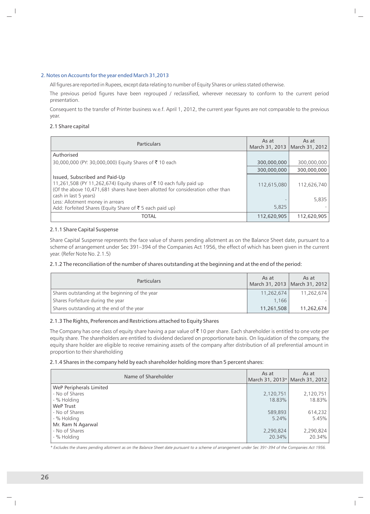#### 2. Notes on Accounts for the year ended March 31,2013

All figures are reported in Rupees, except data relating to number of Equity Shares or unless stated otherwise.

The previous period figures have been regrouped / reclassified, wherever necessary to conform to the current period presentation.

Consequent to the transfer of Printer business w.e.f. April 1, 2012, the current year figures are not comparable to the previous year.

### 2.1 Share capital

| <b>Particulars</b>                                                                                                                                                                      | As at       | As at<br>March 31, 2013   March 31, 2012 |
|-----------------------------------------------------------------------------------------------------------------------------------------------------------------------------------------|-------------|------------------------------------------|
| Authorised                                                                                                                                                                              |             |                                          |
| 30,000,000 (PY: 30,000,000) Equity Shares of ₹10 each                                                                                                                                   | 300,000,000 | 300,000,000                              |
|                                                                                                                                                                                         | 300,000,000 | 300,000,000                              |
| Issued, Subscribed and Paid-Up<br>11,261,508 (PY 11,262,674) Equity shares of ₹10 each fully paid up<br>(Of the above 10,471,681 shares have been allotted for consideration other than | 112,615,080 | 112,626,740                              |
| cash in last 5 years)<br>Less: Allotment money in arrears                                                                                                                               |             | 5,835                                    |
| Add: Forfeited Shares (Equity Share of ₹ 5 each paid up)                                                                                                                                | 5,825       |                                          |
| <b>TOTAL</b>                                                                                                                                                                            | 112,620,905 | 112,620,905                              |

#### 2.1.1 Share Capital Suspense

Share Capital Suspense represents the face value of shares pending allotment as on the Balance Sheet date, pursuant to a scheme of arrangement under Sec 391–394 of the Companies Act 1956, the effect of which has been given in the current year. (Refer Note No. 2.1.5)

#### 2.1.2 The reconciliation of the number of shares outstanding at the beginning and at the end of the period:

| <b>Particulars</b>                              | As at<br>March 31, 2013   March 31, 2012 | As at      |
|-------------------------------------------------|------------------------------------------|------------|
| Shares outstanding at the beginning of the year | 11,262,674                               | 11,262,674 |
| Shares Forfeiture during the year               | 1,166                                    |            |
| Shares outstanding at the end of the year       | 11,261,508                               | 11,262,674 |

### 2.1.3 The Rights, Preferences and Restrictions attached to Equity Shares

The Company has one class of equity share having a par value of  $\bar{\tau}$  10 per share. Each shareholder is entitled to one vote per equity share. The shareholders are entitled to dividend declared on proportionate basis. On liquidation of the company, the equity share holder are eligible to receive remaining assets of the company after distribution of all preferential amount in proportion to their shareholding

### 2.1.4 Shares in the company held by each shareholder holding more than 5 percent shares:

| Name of Shareholder     | As at<br>March 31, 2013* March 31, 2012 | As at     |
|-------------------------|-----------------------------------------|-----------|
| WeP Peripherals Limited |                                         |           |
| - No of Shares          | 2,120,751                               | 2,120,751 |
| - % Holding             | 18.83%                                  | 18.83%    |
| <b>WeP Trust</b>        |                                         |           |
| - No of Shares          | 589,893                                 | 614,232   |
| - % Holding             | 5.24%                                   | 5.45%     |
| Mr. Ram N Agarwal       |                                         |           |
| - No of Shares          | 2,290,824                               | 2,290,824 |
| - % Holding             | 20.34%                                  | 20.34%    |

*\* Excludes the shares pending allotment as on the Balance Sheet date pursuant to a scheme of arrangement under Sec 391-394 of the Companies Act 1956.*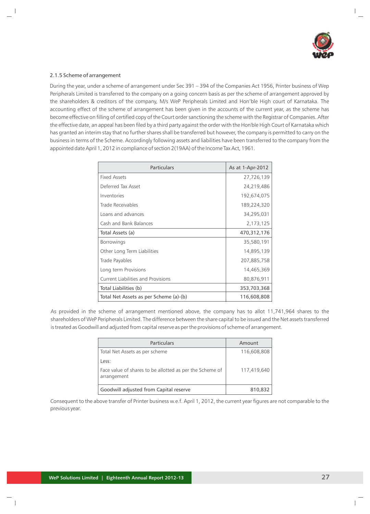

### 2.1.5 Scheme of arrangement

During the year, under a scheme of arrangement under Sec 391 – 394 of the Companies Act 1956, Printer business of Wep Peripherals Limited is transferred to the company on a going concern basis as per the scheme of arrangement approved by the shareholders & creditors of the company, M/s WeP Peripherals Limited and Hon'ble High court of Karnataka. The accounting effect of the scheme of arrangement has been given in the accounts of the current year, as the scheme has become effective on filling of certified copy of the Court order sanctioning the scheme with the Registrar of Companies. After the effective date, an appeal has been filed by a third party against the order with the Hon'ble High Court of Karnataka which has granted an interim stay that no further shares shall be transferred but however, the company is permitted to carry on the business in terms of the Scheme. Accordingly following assets and liabilities have been transferred to the company from the appointed date April 1, 2012 in compliance of section 2(19AA) of the Income Tax Act, 1961.

| <b>Particulars</b>                     | As at 1-Apr-2012 |
|----------------------------------------|------------------|
| Fixed Assets                           | 27,726,139       |
| Deferred Tax Asset                     | 24,219,486       |
| Inventories                            | 192,674,075      |
| Trade Receivables                      | 189,224,320      |
| Loans and advances                     | 34,295,031       |
| Cash and Bank Balances                 | 2,173,125        |
| Total Assets (a)                       | 470,312,176      |
| <b>Borrowings</b>                      | 35,580,191       |
| Other Long Term Liabilities            | 14,895,139       |
| Trade Payables                         | 207,885,758      |
| Long term Provisions                   | 14,465,369       |
| Current Liabilities and Provisions     | 80,876,911       |
| Total Liabilities (b)                  | 353,703,368      |
| Total Net Assets as per Scheme (a)-(b) | 116,608,808      |

As provided in the scheme of arrangement mentioned above, the company has to allot 11,741,964 shares to the shareholders of WeP Peripherals Limited. The difference between the share capital to be issued and the Net assets transferred is treated as Goodwill and adjusted from capital reserve as per the provisions of scheme of arrangement.

| <b>Particulars</b>                                                      | Amount      |
|-------------------------------------------------------------------------|-------------|
| Total Net Assets as per scheme                                          | 116,608,808 |
| Less:                                                                   |             |
| Face value of shares to be allotted as per the Scheme of<br>arrangement | 117,419,640 |
| Goodwill adjusted from Capital reserve                                  | 810,832     |

Consequent to the above transfer of Printer business w.e.f. April 1, 2012, the current year figures are not comparable to the previous year.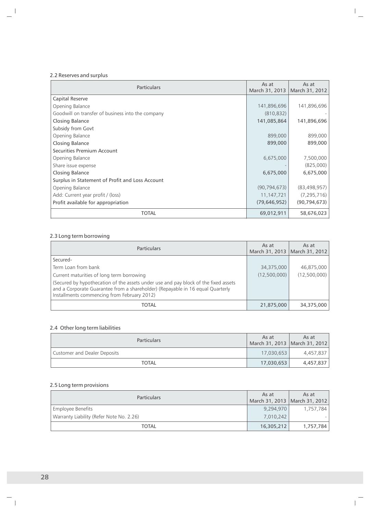# 2.2 Reserves and surplus

 $\sim 1$ 

| <b>Particulars</b>                                | As at          | As at<br>March 31, 2013   March 31, 2012 |
|---------------------------------------------------|----------------|------------------------------------------|
| Capital Reserve                                   |                |                                          |
| Opening Balance                                   | 141,896,696    | 141,896,696                              |
| Goodwill on transfer of business into the company | (810, 832)     |                                          |
| Closing Balance                                   | 141,085,864    | 141,896,696                              |
| Subsidy from Govt                                 |                |                                          |
| Opening Balance                                   | 899,000        | 899,000                                  |
| Closing Balance                                   | 899,000        | 899,000                                  |
| Securities Premium Account                        |                |                                          |
| Opening Balance                                   | 6,675,000      | 7,500,000                                |
| Share issue expense                               |                | (825,000)                                |
| Closing Balance                                   | 6,675,000      | 6,675,000                                |
| Surplus in Statement of Profit and Loss Account   |                |                                          |
| Opening Balance                                   | (90, 794, 673) | (83, 498, 957)                           |
| Add: Current year profit / (loss)                 | 11,147,721     | (7, 295, 716)                            |
| Profit available for appropriation                | (79, 646, 952) | (90, 794, 673)                           |
| <b>TOTAL</b>                                      | 69,012,911     | 58,676,023                               |

 $\frac{1}{\sqrt{2}}$ 

 $\frac{1}{\sqrt{2\pi}}$ 

# 2.3 Long term borrowing

| <b>Particulars</b>                                                                                                                                                                                                   | As at<br>March 31, 2013   March 31, 2012 | As at        |
|----------------------------------------------------------------------------------------------------------------------------------------------------------------------------------------------------------------------|------------------------------------------|--------------|
| Secured-                                                                                                                                                                                                             |                                          |              |
| Term Loan from bank                                                                                                                                                                                                  | 34,375,000                               | 46,875,000   |
| Current maturities of long term borrowing                                                                                                                                                                            | (12,500,000)                             | (12,500,000) |
| (Secured by hypothecation of the assets under use and pay block of the fixed assets<br>and a Corporate Guarantee from a shareholder) (Repayable in 16 equal Quarterly<br>Installments commencing from February 2012) |                                          |              |
| <b>TOTAL</b>                                                                                                                                                                                                         | 21,875,000                               | 34,375,000   |

# 2.4 Other long term liabilities

| <b>Particulars</b>           | As at<br>March 31, 2013   March 31, 2012 | As at     |
|------------------------------|------------------------------------------|-----------|
| Customer and Dealer Deposits | 17,030,653                               | 4,457,837 |
| <b>TOTAL</b>                 | 17,030,653                               | 4,457,837 |

# 2.5 Long term provisions

| <b>Particulars</b>                       | As at<br>March 31, 2013   March 31, 2012 | As at     |
|------------------------------------------|------------------------------------------|-----------|
| Employee Benefits                        | 9,294,970                                | 1.757.784 |
| Warranty Liability (Refer Note No. 2.26) | 7.010.242                                |           |
| TOTAL                                    | 16,305,212                               | 1,757,784 |

 $\overline{\phantom{a}}_+$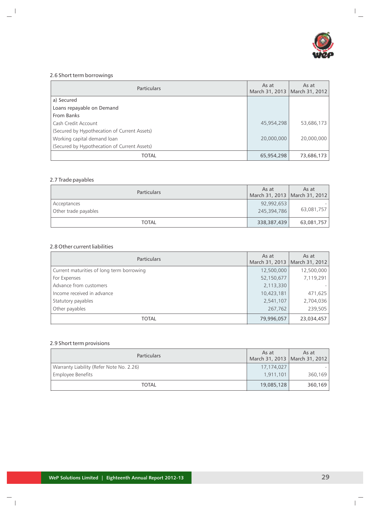

 $\frac{1}{\sqrt{2}}$ 

# 2.6 Short term borrowings

 $\frac{1}{2}$ 

 $=$ 

| <b>Particulars</b>                           | As at      | As at<br>March 31, 2013   March 31, 2012 |
|----------------------------------------------|------------|------------------------------------------|
| a) Secured                                   |            |                                          |
| Loans repayable on Demand                    |            |                                          |
| From Banks                                   |            |                                          |
| Cash Credit Account                          | 45,954,298 | 53,686,173                               |
| (Secured by Hypothecation of Current Assets) |            |                                          |
| Working capital demand loan                  | 20,000,000 | 20,000,000                               |
| (Secured by Hypothecation of Current Assets) |            |                                          |
| <b>TOTAL</b>                                 | 65,954,298 | 73,686,173                               |

# 2.7 Trade payables

| <b>Particulars</b>                  | As at<br>March 31, 2013   March 31, 2012 | As at      |
|-------------------------------------|------------------------------------------|------------|
| Acceptances<br>Other trade payables | 92,992,653<br>245,394,786                | 63,081,757 |
| <b>TOTAL</b>                        | 338,387,439                              | 63,081,757 |

### 2.8 Other current liabilities

| <b>Particulars</b>                        | As at<br>March 31, 2013 | As at<br>March 31, 2012 |
|-------------------------------------------|-------------------------|-------------------------|
| Current maturities of long term borrowing | 12,500,000              | 12,500,000              |
| For Expenses                              | 52,150,677              | 7,119,291               |
| Advance from customers                    | 2,113,330               |                         |
| Income received in advance                | 10,423,181              | 471,625                 |
| Statutory payables                        | 2,541,107               | 2,704,036               |
| Other payables                            | 267,762                 | 239,505                 |
| <b>TOTAL</b>                              | 79,996,057              | 23,034,457              |

### 2.9 Short term provisions

| <b>Particulars</b>                       | As at<br>March 31, 2013   March 31, 2012 | As at   |
|------------------------------------------|------------------------------------------|---------|
| Warranty Liability (Refer Note No. 2.26) | 17,174,027                               |         |
| Employee Benefits                        | 1.911.101                                | 360,169 |
| TOTAL                                    | 19,085,128                               | 360,169 |

 $\frac{1}{\sqrt{2\pi}}$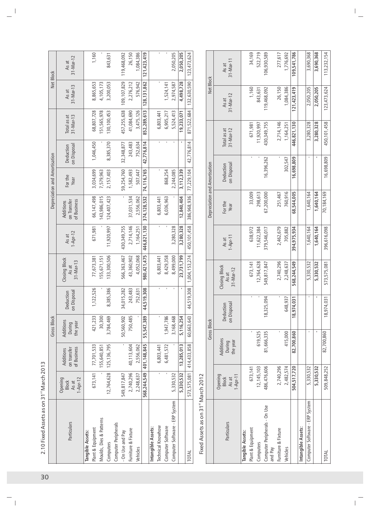| 2.10 Fixed Assets as on 31 <sup>st</sup> March 2013 |                                                  |                                         |                                        |                          |                                          |                       |                                         |                               |                          |                               |                            |                         |
|-----------------------------------------------------|--------------------------------------------------|-----------------------------------------|----------------------------------------|--------------------------|------------------------------------------|-----------------------|-----------------------------------------|-------------------------------|--------------------------|-------------------------------|----------------------------|-------------------------|
|                                                     |                                                  |                                         | Gross Block                            |                          |                                          |                       |                                         | Depreciation and Amortisation |                          |                               |                            | Net Block               |
| Particulars                                         | $1 -$ Apr-12<br>Opening<br><b>Block</b><br>As at | of Business<br>on transfer<br>Additions | <b>Additions</b><br>the year<br>During | on Disposal<br>Deduction | Closing Block<br>$31 - $ Mar-13<br>As at | $1 -$ Apr-12<br>As at | of Business<br>on Transfer<br>Additions | For the<br>Year               | on Disposal<br>Deduction | $31 - $ Mar-13<br>Total as at | $31 - $ Mar $-13$<br>As at | $31 - $ Mar-12<br>As at |
| Tangible Assets:                                    |                                                  |                                         |                                        |                          |                                          |                       |                                         |                               |                          |                               |                            |                         |
| Plant & Equipment                                   | 673,141                                          | 77,701,533                              | 421,233                                | 1,122,526                | 77,673,381                               | 671,981               | 66,147,498                              | 3,034,699                     | 1,046,450                | 68,807,728                    | 8,865,653                  | 1,160                   |
| Moulds, Dies & Patterns                             |                                                  | 155,640,851                             | 30,300                                 |                          | 55,671,151                               |                       | 143,986,015                             | 7,579,963                     |                          | 151,565,978                   | 4,105,173                  |                         |
| Computers                                           | 12,764,628                                       | 125, 136, 795                           | 3,784,469                              | 385,386<br>∞             | 133,300,506                              | 11,920,997            | 124,407,423                             | 2,157,403                     | 8,385,370                | 130,100,453                   | 3,200,053                  | 843,631                 |
| Computer Peripherals                                |                                                  |                                         |                                        |                          |                                          |                       |                                         |                               |                          |                               |                            |                         |
| - On Use and Pay                                    | 549,817,847                                      |                                         | 50,560,902                             | 015,282<br>34,           | 566,363,467                              | 430,349,755           |                                         | 59,254,760                    | 32,348,877               | 457,255,638                   | 109, 107, 829              | 119,468,092             |
| Furniture & Fixture                                 | 2,740,296                                        | 40,113,604                              | 750,485                                | 243,483                  | 43,360,902                               | 2,714,146             | 37,031,534                              | 1,582,493                     | 243,483                  | 41,084,690                    | 2,276,212                  | 26,150                  |
| Vehicles                                            | 2,248,637                                        | 2,556,062                               |                                        | 752,631                  | 4,052,068                                | 1,164,251             | 2,556,062                               | 507,447                       | 752,634                  | 3,475,126                     | 576,942                    | 1,084,386               |
|                                                     | 568,244,549                                      | 401,148,845                             | 55,547,389                             | 44,519,308               | 980,421,475                              | 446,821,130           | 374,128,532                             | 74,116,765                    | 42,776,814               | 852,289,613                   | 128,131,862                | 121,423,419             |
| Intangible Assets:                                  |                                                  |                                         |                                        |                          |                                          |                       |                                         |                               |                          |                               |                            |                         |
| Technical Knowhow                                   |                                                  | 6,803,441                               |                                        |                          | 6,803,441                                |                       | 6,803,441                               |                               |                          | 6,803,441                     |                            |                         |
| Computer Software                                   |                                                  | 6,481,572                               | 1,947,786                              |                          | 8,429,358                                |                       | 6,036,963                               | 868,254                       |                          | 6,905,217                     | 1,524,141                  |                         |
| Computer Software - ERP System                      | 5,330,532                                        |                                         | 3,168,468                              |                          | 8,499,000                                | 3,280,328             |                                         | 2,244,085                     |                          | 5,524,413                     | 2,974,587                  | 2,050,205               |
|                                                     | 5,330,532                                        | 13,285,013                              | 5,116,254                              |                          | 23,731,799                               | 3,280,328             | 12,840,404                              | 3,112,339                     |                          | 19,233,071                    | 4,498,728                  | 2,050,205               |
| TOTAL                                               | 573,575,081                                      | 414,433,858                             | 60,663,643                             | 519,308<br>44            | 1,004,153,274                            | 450,101,458           | 386,968,936                             | 77,229,104                    | 42,776,814               | 871,522,684                   | 132,630,590                | 123,473,624             |
| Fixed Assets as on 31 <sup>st</sup> March 2012      |                                                  |                                         |                                        |                          |                                          |                       |                                         |                               |                          |                               |                            |                         |
|                                                     |                                                  |                                         | Gross Block                            |                          |                                          |                       |                                         | Depreciation and Amortisation |                          |                               | Net Block                  |                         |
| Particulars                                         | $1 -$ Apr-11<br>Opening<br><b>Block</b><br>As at | Additions<br>the year<br>During         |                                        | on Disposal<br>Deduction | Closing Block<br>$31 - $ Mar-12<br>As at | $1 - App-11$<br>As at | For the<br>Year                         | on Disposal<br>Deduction      |                          | Total as at<br>31-Mar-12      | $31 - $ Mar-12<br>As at    | $31 - $ Mar-11<br>As at |
| Tangible Assets:                                    |                                                  |                                         |                                        |                          |                                          |                       |                                         |                               |                          |                               |                            |                         |
| Plant & Equipment                                   | 673,141                                          |                                         |                                        |                          | 673,141                                  | 638,972               | 33,009                                  |                               |                          | 671,981                       | 1,160                      | 34,169                  |
| Computers                                           | 12, 145, 103                                     |                                         | 619,525                                |                          | 12,764,628                               | 11,622,384            | 298,613                                 |                               |                          | 11,920,997                    | 843,631                    | 522,719                 |
| Computer Peripherals - On Use<br>and Pay            | 486,476,606                                      | 81,666,335                              |                                        | 094<br>18,325,           | 549,817,847                              | 379,546,017           | 67,200,000                              | 16,396,262                    |                          | 430,349,755                   | 119,468,092                | 106,930,589             |
| Furniture & Fixture                                 | 2,740,296                                        |                                         |                                        |                          | 2,740,296                                | 2,462,679             | 251,467                                 |                               |                          | 2,714,146                     | 26,150                     | 277,617                 |
| Vehicles                                            | 2,482,574                                        |                                         | 415,000                                | 937<br>648,              | 2,248,637                                | 705,882               | 760,916                                 | 302,547                       |                          | 1,164,251                     | 1,084,386                  | 1,776,692               |
|                                                     | 504,517,720                                      | 82,700,860                              |                                        | 031<br>18,974,           | 568,244,549                              | 394,975,934           | 68,544,005                              | 16,698,809                    |                          | 446,821,130                   | 121, 423, 419              | 109,541,786             |
| Intangible Assets:                                  |                                                  |                                         |                                        |                          |                                          |                       |                                         |                               |                          |                               |                            |                         |
| Computer Software - ERP System                      | 5,330,532                                        |                                         |                                        |                          | 5,330,532                                | 1,640,164             | 1,640,164                               |                               |                          | 3,280,328                     | 2,050,205                  | 3,690,368               |
|                                                     | 5,330,532                                        |                                         |                                        |                          | 5,330,532                                | 1,640,164             | 1,640,164                               |                               |                          | 3,280,328                     | 2,050,205                  | 3,690,368               |
| TOTAL                                               | 509,848,252                                      | 82,700,860                              |                                        | 031<br>18,974,           | 573,575,081                              | 396,616,098           | 70,184,169                              | 16,698,809                    |                          | 450,101,458                   | 123,473,624                | 113,232,154             |

 $\begin{array}{c} \begin{array}{c} \begin{array}{c} \end{array} \\ \begin{array}{c} \end{array} \end{array} \end{array}$ 

 $\frac{1}{\sqrt{2}}$ 

 $\mathcal{L}_{\parallel}$ 

 $\frac{1}{2}$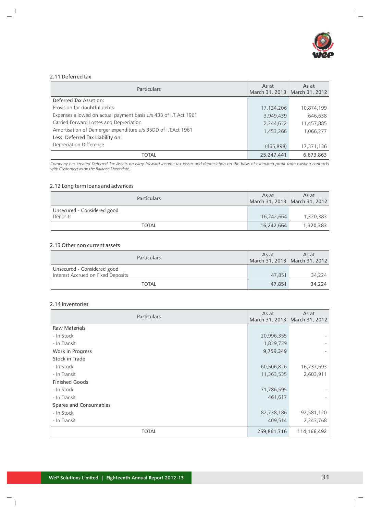

 $\vert$ 

### 2.11 Deferred tax

 $\Box$ 

| <b>Particulars</b>                                               | As at      | As at<br>March 31, 2013   March 31, 2012 |
|------------------------------------------------------------------|------------|------------------------------------------|
| Deferred Tax Asset on:                                           |            |                                          |
| Provision for doubtful debts                                     | 17,134,206 | 10,874,199                               |
| Expenses allowed on actual payment basis u/s 43B of I.T Act 1961 | 3,949,439  | 646,638                                  |
| Carried Forward Losses and Depreciation                          | 2,244,632  | 11,457,885                               |
| Amortisation of Demerger expenditure u/s 35DD of I.T.Act 1961    | 1,453,266  | 1,066,277                                |
| Less: Deferred Tax Liability on:                                 |            |                                          |
| Depreciation Difference                                          | (465, 898) | 17,371,136                               |
| <b>TOTAL</b>                                                     | 25,247,441 | 6,673,863                                |

*Company has created Deferred Tax Assets on carry forward income tax losses and depreciation on the basis of estimated profit from existing contracts with Customers as on the Balance Sheet date.*

### 2.12 Long term loans and advances

| <b>Particulars</b>                      | As at<br>March 31, 2013   March 31, 2012 | As at     |
|-----------------------------------------|------------------------------------------|-----------|
| Unsecured - Considered good<br>Deposits | 16,242,664                               | 1,320,383 |
| <b>TOTAL</b>                            | 16,242,664                               | 1,320,383 |

### 2.13 Other non current assets

| <b>Particulars</b>                                                | As at<br>March 31, 2013   March 31, 2012 | As at  |
|-------------------------------------------------------------------|------------------------------------------|--------|
| Unsecured - Considered good<br>Interest Accrued on Fixed Deposits | 47.851                                   | 34,224 |
| <b>TOTAL</b>                                                      | 47,851                                   | 34,224 |

### 2.14 Inventories

 $^{-}$   $_{\perp}$ 

| Particulars            | As at<br>March 31, 2013 | As at<br>March 31, 2012 |
|------------------------|-------------------------|-------------------------|
| <b>Raw Materials</b>   |                         |                         |
| - In Stock             | 20,996,355              |                         |
| - In Transit           | 1,839,739               |                         |
| Work in Progress       | 9,759,349               |                         |
| Stock in Trade         |                         |                         |
| - In Stock             | 60,506,826              | 16,737,693              |
| - In Transit           | 11,363,535              | 2,603,911               |
| <b>Finished Goods</b>  |                         |                         |
| - In Stock             | 71,786,595              |                         |
| - In Transit           | 461,617                 |                         |
| Spares and Consumables |                         |                         |
| - In Stock             | 82,738,186              | 92,581,120              |
| - In Transit           | 409,514                 | 2,243,768               |
| <b>TOTAL</b>           | 259,861,716             | 114,166,492             |

 $\mathbb{R}$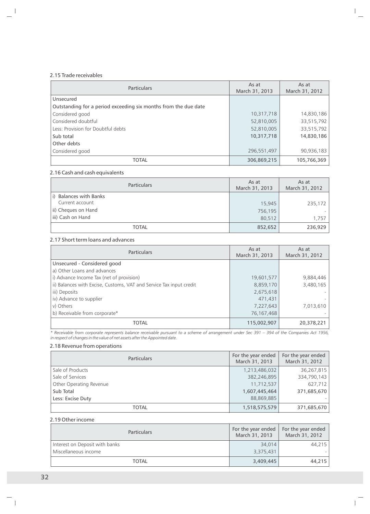### 2.15 Trade receivables

 $\overline{\phantom{a}}$ 

| <b>Particulars</b>                                              | As at<br>March 31, 2013 | As at<br>March 31, 2012 |
|-----------------------------------------------------------------|-------------------------|-------------------------|
| Unsecured                                                       |                         |                         |
| Outstanding for a period exceeding six months from the due date |                         |                         |
| Considered good                                                 | 10,317,718              | 14,830,186              |
| Considered doubtful                                             | 52,810,005              | 33,515,792              |
| Less: Provision for Doubtful debts                              | 52,810,005              | 33,515,792              |
| Sub total                                                       | 10,317,718              | 14,830,186              |
| Other debts                                                     |                         |                         |
| Considered good                                                 | 296,551,497             | 90,936,183              |
| <b>TOTAL</b>                                                    | 306,869,215             | 105,766,369             |

 $\overline{1}$ 

### 2.16 Cash and cash equivalents

| <b>Particulars</b>      | As at<br>March 31, 2013 | As at<br>March 31, 2012 |
|-------------------------|-------------------------|-------------------------|
| (i) Balances with Banks |                         |                         |
| Current account         | 15,945                  | 235,172                 |
| ii) Cheques on Hand     | 756,195                 |                         |
| iii) Cash on Hand       | 80.512                  | 1.757                   |
| TOTAL                   | 852,652                 | 236,929                 |

#### 2.17 Short term loans and advances

| <b>Particulars</b>                                                  | As at<br>March 31, 2013 | As at<br>March 31, 2012 |
|---------------------------------------------------------------------|-------------------------|-------------------------|
| Unsecured - Considered good                                         |                         |                         |
| a) Other Loans and advances                                         |                         |                         |
| i) Advance Income Tax (net of provision)                            | 19,601,577              | 9,884,446               |
| ii) Balances with Excise, Customs, VAT and Service Tax input credit | 8,859,170               | 3,480,165               |
| iii) Deposits                                                       | 2,675,618               |                         |
| iv) Advance to supplier                                             | 471,431                 |                         |
| v) Others                                                           | 7,227,643               | 7,013,610               |
| b) Receivable from corporate*                                       | 76,167,468              |                         |
| <b>TOTAL</b>                                                        | 115,002,907             | 20,378,221              |

*\* Receivable from corporate represents balance receivable pursuant to a scheme of arrangement under Sec 391 – 394 of the Companies Act 1956, in respect of changes in the value of net assets after the Appointed date.*

### 2.18 Revenue from operations

| <b>Particulars</b>      | For the year ended<br>March 31, 2013 | For the year ended<br>March 31, 2012 |
|-------------------------|--------------------------------------|--------------------------------------|
| Sale of Products        | 1,213,486,032                        | 36,267,815                           |
| Sale of Services        | 382,246,895                          | 334,790,143                          |
| Other Operating Revenue | 11,712,537                           | 627,712                              |
| Sub Total               | 1,607,445,464                        | 371,685,670                          |
| Less: Excise Duty       | 88,869,885                           |                                      |
| TOTAL                   | 1,518,575,579                        | 371,685,670                          |

### 2.19 Other income

| <b>Particulars</b>             | For the year ended<br>March 31, 2013 | For the year ended<br>March 31, 2012 |
|--------------------------------|--------------------------------------|--------------------------------------|
| Interest on Deposit with banks | 34,014                               | 44.215                               |
| l Miscellaneous income         | 3.375.431                            |                                      |
| <b>TOTAL</b>                   | 3,409,445                            | 44,215                               |

 $\blacksquare$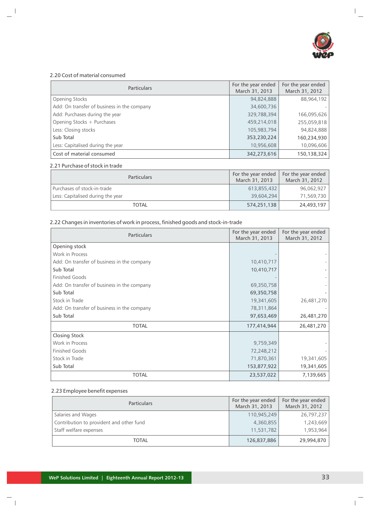

 $\begin{array}{c} \hline \end{array}$ 

### 2.20 Cost of material consumed

 $\mathbb{R}$ 

| <b>Particulars</b>                          | For the year ended<br>March 31, 2013 | For the year ended<br>March 31, 2012 |
|---------------------------------------------|--------------------------------------|--------------------------------------|
| Opening Stocks                              | 94,824,888                           | 88,964,192                           |
| Add: On transfer of business in the company | 34,600,736                           |                                      |
| Add: Purchases during the year              | 329,788,394                          | 166,095,626                          |
| Opening Stocks + Purchases                  | 459,214,018                          | 255,059,818                          |
| Less: Closing stocks                        | 105,983,794                          | 94,824,888                           |
| Sub Total                                   | 353,230,224                          | 160,234,930                          |
| Less: Capitalised during the year           | 10,956,608                           | 10,096,606                           |
| Cost of material consumed                   | 342,273,616                          | 150,138,324                          |

### 2.21 Purchase of stock in trade

| <b>Particulars</b>                | For the year ended<br>March 31, 2013 | For the year ended<br>March 31, 2012 |
|-----------------------------------|--------------------------------------|--------------------------------------|
| Purchases of stock-in-trade       | 613,855,432                          | 96,062,927                           |
| Less: Capitalised during the year | 39.604.294                           | 71,569,730                           |
| TOTAL                             | 574,251,138                          | 24,493,197                           |

2.22 Changes in inventories of work in process, finished goods and stock-in-trade

| <b>Particulars</b>                          | For the year ended<br>March 31, 2013 | For the year ended<br>March 31, 2012 |
|---------------------------------------------|--------------------------------------|--------------------------------------|
| Opening stock                               |                                      |                                      |
| Work in Process                             |                                      |                                      |
| Add: On transfer of business in the company | 10,410,717                           |                                      |
| Sub Total                                   | 10,410,717                           |                                      |
| Finished Goods                              |                                      |                                      |
| Add: On transfer of business in the company | 69,350,758                           |                                      |
| Sub Total                                   | 69,350,758                           |                                      |
| Stock in Trade                              | 19,341,605                           | 26,481,270                           |
| Add: On transfer of business in the company | 78,311,864                           |                                      |
| Sub Total                                   | 97,653,469                           | 26,481,270                           |
| <b>TOTAL</b>                                | 177,414,944                          | 26,481,270                           |
| <b>Closing Stock</b>                        |                                      |                                      |
| Work in Process                             | 9,759,349                            |                                      |
| Finished Goods                              | 72,248,212                           |                                      |
| Stock in Trade                              | 71,870,361                           | 19,341,605                           |
| Sub Total                                   | 153,877,922                          | 19,341,605                           |
| <b>TOTAL</b>                                | 23,537,022                           | 7,139,665                            |

# 2.23 Employee benefit expenses

 $^{-}$   $_{\perp}$ 

| <b>Particulars</b>                       | For the year ended<br>March 31, 2013 | For the year ended<br>March 31, 2012 |
|------------------------------------------|--------------------------------------|--------------------------------------|
| Salaries and Wages                       | 110,945,249                          | 26,797,237                           |
| Contribution to provident and other fund | 4,360,855                            | 1,243,669                            |
| Staff welfare expenses                   | 11,531,782                           | 1,953,964                            |
| TOTAL                                    | 126,837,886                          | 29,994,870                           |

 $\mathbb{R}^{\mathbb{Z}}$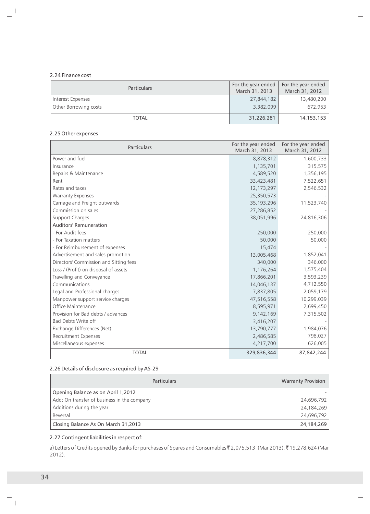### 2.24 Finance cost

 $\mathcal{L}$ 

| <b>Particulars</b>    | For the year ended<br>March 31, 2013 | For the year ended<br>March 31, 2012 |
|-----------------------|--------------------------------------|--------------------------------------|
| Interest Expenses     | 27,844,182                           | 13,480,200                           |
| Other Borrowing costs | 3,382,099                            | 672.953                              |
| TOTAL                 | 31,226,281                           | 14,153,153                           |

 $\|$ 

 $\mathbb{R}^{\mathbb{Z}}$ 

### 2.25 Other expenses

| Particulars                            | For the year ended<br>March 31, 2013 | For the year ended<br>March 31, 2012 |
|----------------------------------------|--------------------------------------|--------------------------------------|
| Power and fuel                         | 8,878,312                            | 1,600,733                            |
| Insurance                              | 1,135,701                            | 315,575                              |
| Repairs & Maintenance                  | 4,589,520                            | 1,356,195                            |
| Rent                                   | 33,423,481                           | 7,522,651                            |
| Rates and taxes                        | 12,173,297                           | 2,546,532                            |
| <b>Warranty Expenses</b>               | 25,350,573                           |                                      |
| Carriage and Freight outwards          | 35,193,296                           | 11,523,740                           |
| Commission on sales                    | 27,286,852                           |                                      |
| Support Charges                        | 38,051,996                           | 24,816,306                           |
| <b>Auditors' Remuneration</b>          |                                      |                                      |
| - For Audit fees                       | 250,000                              | 250,000                              |
| - For Taxation matters                 | 50,000                               | 50,000                               |
| - For Reimbursement of expenses        | 15,474                               |                                      |
| Advertisement and sales promotion      | 13,005,468                           | 1,852,041                            |
| Directors' Commission and Sitting fees | 340,000                              | 346,000                              |
| Loss / (Profit) on disposal of assets  | 1,176,264                            | 1,575,404                            |
| Travelling and Conveyance              | 17,866,201                           | 3,593,239                            |
| Communications                         | 14,046,137                           | 4,712,550                            |
| Legal and Professional charges         | 7,837,805                            | 2,059,179                            |
| Manpower support service charges       | 47,516,558                           | 10,299,039                           |
| Office Maintenance                     | 8,595,971                            | 2,699,450                            |
| Provision for Bad debts / advances     | 9,142,169                            | 7,315,502                            |
| Bad Debts Write off                    | 3,416,207                            |                                      |
| Exchange Differences (Net)             | 13,790,777                           | 1,984,076                            |
| Recruitment Expenses                   | 2,486,585                            | 798,027                              |
| Miscellaneous expenses                 | 4,217,700                            | 626,005                              |
| <b>TOTAL</b>                           | 329,836,344                          | 87,842,244                           |

### 2.26 Details of disclosure as required by AS-29

| Particulars                                 | <b>Warranty Provision</b> |
|---------------------------------------------|---------------------------|
| Opening Balance as on April 1,2012          |                           |
| Add: On transfer of business in the company | 24,696,792                |
| Additions during the year                   | 24,184,269                |
| Reversal                                    | 24,696,792                |
| Closing Balance As On March 31,2013         | 24,184,269                |

### 2.27 Contingent liabilities in respect of:

a) Letters of Credits opened by Banks for purchases of Spares and Consumables ₹ 2,075,513 (Mar 2013), ₹ 19,278,624 (Mar 2012).

 $\Box$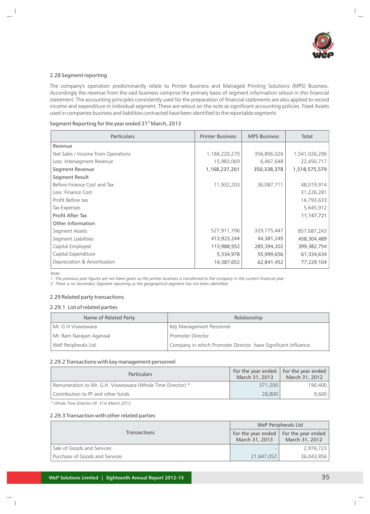

 $\mathbf{I}$ 

### 2.28 Segment reporting

The company's operation predominantly relate to Printer Business and Managed Printing Solutions (MPS) Business. Accordingly the revenue from the said business comprise the primary basis of segment information setout in this financial statement. The accounting principles consistently used for the preparation of financial statements are also applied to record income and expenditure in individual segment. These are setout on the note as significant accounting policies. Fixed Assets used in companies business and liabilities contracted have been identified to the reportable segments

### Segment Reporting for the year ended 31<sup>st</sup> March, 2013

| <b>Particulars</b>                 | <b>Printer Business</b> | <b>MPS Business</b> | Total         |
|------------------------------------|-------------------------|---------------------|---------------|
| Revenue                            |                         |                     |               |
| Net Sales / Income from Operations | 1,184,220,270           | 356,806,026         | 1,541,026,296 |
| Less: Intersegment Revenue         | 15,983,069              | 6,467,648           | 22,450,717    |
| Segment Revenue                    | 1,168,237,201           | 350,338,378         | 1,518,575,579 |
| Segment Result                     |                         |                     |               |
| Before Finance Cost and Tax        | 11,932,203              | 36,087,711          | 48,019,914    |
| Less: Finance Cost                 |                         |                     | 31,226,281    |
| Profit Before tax                  |                         |                     | 16,793,633    |
| Tax Expenses                       |                         |                     | 5,645,912     |
| Profit After Tax                   |                         |                     | 11,147,721    |
| Other Information                  |                         |                     |               |
| Segment Assets                     | 527,911,796             | 329,775,447         | 857,687,243   |
| Segment Liabilities                | 413,923,244             | 44,381,245          | 458,304,489   |
| Capital Employed                   | 113,988,552             | 285,394,202         | 399,382,754   |
| Capital Expenditure                | 5,334,978               | 55,999,656          | 61,334,634    |
| Depreciation & Amortisation        | 14,387,652              | 62,841,452          | 77,229,104    |

*Note:*

*1. The previous year figures are not been given as the printer business is transferred to the company in the current financial year*

*2. There is no Secondary Segment reporting as the geographical segment has not been identified.*

### 2.29 Related party transactions

### 2.29.1 List of related parties

| Name of Related Party   | Relationship                                                  |  |
|-------------------------|---------------------------------------------------------------|--|
| Mr. G H Visweswara      | Key Management Personnel                                      |  |
| Mr. Ram Narayan Agarwal | Promoter Director                                             |  |
| WeP Peripherals Ltd.    | Company in which Promoter Director have Significant Influence |  |

### 2.29.2 Transactions with key management personnel

| <b>Particulars</b>                                          | For the year ended $\vert$ For the year ended $\vert$<br>March 31, 2013 | March 31, 2012 |
|-------------------------------------------------------------|-------------------------------------------------------------------------|----------------|
| Remuneration to Mr. G.H. Visweswara (Whole Time Director) * | 571,200                                                                 | 190,400        |
| Contribution to PF and other funds                          | 28,800                                                                  | 9,600          |

*\* Whole Time Director till 31st March 2013.*

#### 2.29.3 Transaction with other related parties

| <b>Transactions</b> | WeP Peripherals Ltd                  |                                      |            |
|---------------------|--------------------------------------|--------------------------------------|------------|
|                     | For the year ended<br>March 31, 2013 | For the year ended<br>March 31, 2012 |            |
|                     | Sale of Goods and Services           |                                      | 2,976,723  |
|                     | Purchase of Goods and Services       | 21,647,052                           | 36.043.856 |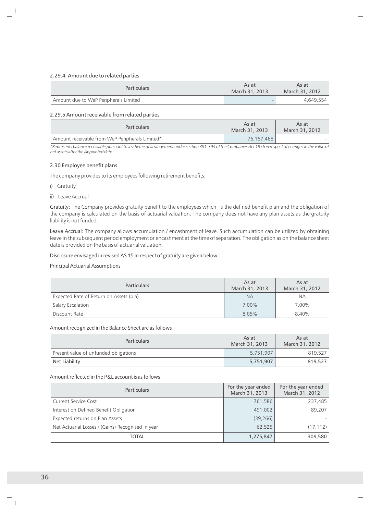### 2.29.4 Amount due to related parties

| <b>Particulars</b>                    | As at<br>March 31, 2013 | As at<br>March 31, 2012 |
|---------------------------------------|-------------------------|-------------------------|
| Amount due to WeP Peripherals Limited |                         | 4,649,554               |

### 2.29.5 Amount receivable from related parties

| <b>Particulars</b>                              | As at<br>March 31, 2013 | As at<br>March 31, 2012 |
|-------------------------------------------------|-------------------------|-------------------------|
| Amount receivable from WeP Peripherals Limited* | 76.167.468              |                         |

*\*Represents balance receivable pursuant to a scheme of arrangement under section 391-394 of the Companies Act 1956 in respect of changes in the value of net assets after the Appointed date.*

### 2.30 Employee benefit plans

The company provides to its employees following retirement benefits:

- i) Gratuity
- ii) Leave Accrual

Gratuity: The Company provides gratuity benefit to the employees which is the defined benefit plan and the obligation of the company is calculated on the basis of actuarial valuation. The company does not have any plan assets as the gratuity liability is not funded.

Leave Accrual: The company allows accumulation / encashment of leave. Such accumulation can be utilized by obtaining leave in the subsequent period employment or encashment at the time of separation. The obligation as on the balance sheet date is provided on the basis of actuarial valuation.

Disclosure envisaged in revised AS 15 in respect of gratuity are given below:

### Principal Actuarial Assumptions

| <b>Particulars</b>                      | As at<br>March 31, 2013 | As at<br>March 31, 2012 |
|-----------------------------------------|-------------------------|-------------------------|
| Expected Rate of Return on Assets (p.a) | <b>NA</b>               | ΝA                      |
| <b>Salary Escalation</b>                | 7.00%                   | 7.00%                   |
| Discount Rate                           | 8.05%                   | 8.40%                   |

### Amount recognized in the Balance Sheet are as follows

| <b>Particulars</b>                    | As at<br>March 31, 2013 | As at<br>March 31, 2012 |
|---------------------------------------|-------------------------|-------------------------|
| Present value of unfunded obligations | 5,751,907               | 819,527                 |
| Net Liability                         | 5,751,907               | 819,527                 |

### Amount reflected in the P&L account is as follows

| <b>Particulars</b>                                | For the year ended<br>March 31, 2013 | For the year ended<br>March 31, 2012 |
|---------------------------------------------------|--------------------------------------|--------------------------------------|
| <b>Current Service Cost</b>                       | 761,586                              | 237,485                              |
| Interest on Defined Benefit Obligation            | 491,002                              | 89,207                               |
| Expected returns on Plan Assets                   | (39, 266)                            |                                      |
| Net Actuarial Losses / (Gains) Recognised in year | 62,525                               | (17, 112)                            |
| TOTAL                                             | 1,275,847                            | 309,580                              |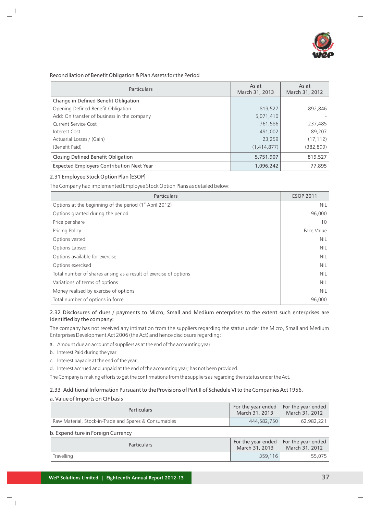

### Reconciliation of Benefit Obligation & Plan Assets for the Period

| <b>Particulars</b>                               | As at<br>March 31, 2013 | As at<br>March 31, 2012 |
|--------------------------------------------------|-------------------------|-------------------------|
| Change in Defined Benefit Obligation             |                         |                         |
| Opening Defined Benefit Obligation               | 819,527                 | 892.846                 |
| Add: On transfer of business in the company      | 5,071,410               |                         |
| <b>Current Service Cost</b>                      | 761,586                 | 237,485                 |
| Interest Cost                                    | 491,002                 | 89,207                  |
| Actuarial Losses / (Gain)                        | 23,259                  | (17, 112)               |
| (Benefit Paid)                                   | (1,414,877)             | (382, 899)              |
| Closing Defined Benefit Obligation               | 5,751,907               | 819,527                 |
| <b>Expected Employers Contribution Next Year</b> | 1,096,242               | 77,895                  |

### 2.31 Employee Stock Option Plan [ESOP]

The Company had implemented Employee Stock Option Plans as detailed below:

| <b>Particulars</b>                                                  | <b>ESOP 2011</b> |
|---------------------------------------------------------------------|------------------|
| Options at the beginning of the period (1 <sup>st</sup> April 2012) | <b>NIL</b>       |
| Options granted during the period                                   | 96,000           |
| Price per share                                                     | 10               |
| Pricing Policy                                                      | Face Value       |
| Options vested                                                      | <b>NIL</b>       |
| Options Lapsed                                                      | <b>NIL</b>       |
| Options available for exercise                                      | <b>NIL</b>       |
| Options exercised                                                   | <b>NIL</b>       |
| Total number of shares arising as a result of exercise of options   | <b>NIL</b>       |
| Variations of terms of options                                      | <b>NIL</b>       |
| Money realised by exercise of options                               | NIL              |
| Total number of options in force                                    | 96,000           |

### 2.32 Disclosures of dues / payments to Micro, Small and Medium enterprises to the extent such enterprises are identified by the company:

The company has not received any intimation from the suppliers regarding the status under the Micro, Small and Medium Enterprises Development Act 2006 (the Act) and hence disclosure regarding:

- a. Amount due an account of suppliers as at the end of the accounting year
- b. Interest Paid during the year
- c. Interest payable at the end of the year
- d. Interest accrued and unpaid at the end of the accounting year; has not been provided.

The Company is making efforts to get the confirmations from the suppliers as regarding their status under the Act.

### 2.33 Additional Information Pursuant to the Provisions of Part II of Schedule VI to the Companies Act 1956.

### a. Value of Imports on CIF basis

| <b>Particulars</b>                                    | March 31, 2013 | For the year ended $\vert$ For the year ended $\vert$<br>March 31, 2012 |
|-------------------------------------------------------|----------------|-------------------------------------------------------------------------|
| Raw Material, Stock-in-Trade and Spares & Consumables | 444,582,750    | 62.982.221                                                              |

### b. Expenditure in Foreign Currency

| <b>Particulars</b> | For the year ended   For the year ended<br>March 31, 2013 | March 31, 2012 |
|--------------------|-----------------------------------------------------------|----------------|
| Travelling         | 359.116                                                   | 55,075         |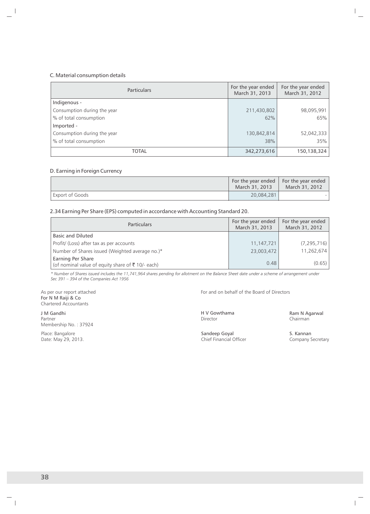### C. Material consumption details

 $\Box$ 

| <b>Particulars</b>          | For the year ended<br>March 31, 2013 | For the year ended<br>March 31, 2012 |
|-----------------------------|--------------------------------------|--------------------------------------|
| Indigenous -                |                                      |                                      |
| Consumption during the year | 211,430,802                          | 98,095,991                           |
| % of total consumption      | 62%                                  | 65%                                  |
| Imported -                  |                                      |                                      |
| Consumption during the year | 130,842,814                          | 52,042,333                           |
| % of total consumption      | 38%                                  | 35%                                  |
| <b>TOTAL</b>                | 342,273,616                          | 150,138,324                          |

### D. Earning in Foreign Currency

|                 | For the year ended $\vert$ For the year ended<br>March 31, 2013 | March 31, 2012 |
|-----------------|-----------------------------------------------------------------|----------------|
| Export of Goods | 20,084,281                                                      |                |

### 2.34 Earning Per Share (EPS) computed in accordance with Accounting Standard 20.

| <b>Particulars</b>                                                                | For the year ended<br>March 31, 2013 | For the year ended<br>March 31, 2012 |
|-----------------------------------------------------------------------------------|--------------------------------------|--------------------------------------|
| <b>Basic and Diluted</b>                                                          |                                      |                                      |
| Profit/ (Loss) after tax as per accounts                                          | 11,147,721                           | (7, 295, 716)                        |
| Number of Shares issued (Weighted average no.)*                                   | 23,003,472                           | 11,262,674                           |
| Earning Per Share<br>(of nominal value of equity share of $\bar{\tau}$ 10/- each) | 0.48                                 | (0.65)                               |

*\* Number of Shares issued includes the 11,741,964 shares pending for allotment on the Balance Sheet date under a scheme of arrangement under Sec 391 – 394 of the Companies Act 1956*

For N M Raiji & Co Chartered Accountants

J M Gandhi Partner Membership No. : 37924

Place: Bangalore Date: May 29, 2013.

As per our report attached For and on behalf of the Board of Directors

H V Gowthama Director

Sandeep Goyal Chief Financial Officer Ram N Agarwal Chairman

 $\begin{array}{c} \hline \end{array}$ 

S. Kannan Company Secretary

 $\mathbf{I}$ 

 $\Box$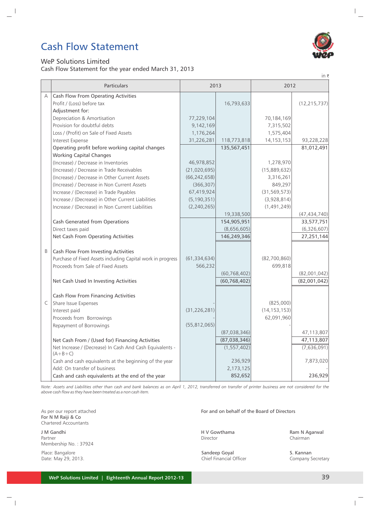# Cash Flow Statement



 $\begin{array}{c} \hline \end{array}$ 

### WeP Solutions Limited

 $\mathbb{R}$ 

Cash Flow Statement for the year ended March 31, 2013

|   |                                                                       |                |                |                | in ₹           |
|---|-----------------------------------------------------------------------|----------------|----------------|----------------|----------------|
|   | Particulars                                                           | 2013           |                | 2012           |                |
| A | Cash Flow From Operating Activities                                   |                |                |                |                |
|   | Profit / (Loss) before tax                                            |                | 16,793,633     |                | (12, 215, 737) |
|   | Adjustment for:                                                       |                |                |                |                |
|   | Depreciation & Amortisation                                           | 77,229,104     |                | 70,184,169     |                |
|   | Provision for doubtful debts                                          | 9,142,169      |                | 7,315,502      |                |
|   | Loss / (Profit) on Sale of Fixed Assets                               | 1,176,264      |                | 1,575,404      |                |
|   | Interest Expense                                                      | 31,226,281     | 118,773,818    | 14, 153, 153   | 93,228,228     |
|   | Operating profit before working capital changes                       |                | 135,567,451    |                | 81,012,491     |
|   | <b>Working Capital Changes</b>                                        |                |                |                |                |
|   | (Increase) / Decrease in Inventories                                  | 46,978,852     |                | 1,278,970      |                |
|   | (Increase) / Decrease in Trade Receivables                            | (21,020,695)   |                | (15,889,632)   |                |
|   | (Increase) / Decrease in Other Current Assets                         | (66, 242, 658) |                | 3,316,261      |                |
|   | (Increase) / Decrease in Non Current Assets                           | (366, 307)     |                | 849,297        |                |
|   | Increase / (Decrease) in Trade Payables                               | 67,419,924     |                | (31, 569, 573) |                |
|   | Increase / (Decrease) in Other Current Liabilities                    | (5, 190, 351)  |                | (3,928,814)    |                |
|   | Increase / (Decrease) in Non Current Liabilities                      | (2, 240, 265)  |                | (1,491,249)    |                |
|   |                                                                       |                | 19,338,500     |                | (47, 434, 740) |
|   | Cash Generated from Operations                                        |                | 154,905,951    |                | 33,577,751     |
|   | Direct taxes paid                                                     |                | (8,656,605)    |                | (6,326,607)    |
|   | Net Cash From Operating Activities                                    |                | 146,249,346    |                | 27,251,144     |
|   |                                                                       |                |                |                |                |
| B | Cash Flow From Investing Activities                                   |                |                |                |                |
|   | Purchase of Fixed Assets including Capital work in progress           | (61, 334, 634) |                | (82,700,860)   |                |
|   | Proceeds from Sale of Fixed Assets                                    | 566,232        |                | 699,818        |                |
|   |                                                                       |                | (60, 768, 402) |                | (82,001,042)   |
|   | Net Cash Used In Investing Activities                                 |                | (60, 768, 402) |                | (82,001,042)   |
|   |                                                                       |                |                |                |                |
|   | <b>Cash Flow From Financing Activities</b>                            |                |                |                |                |
| C | Share Issue Expenses                                                  |                |                | (825,000)      |                |
|   | Interest paid                                                         | (31, 226, 281) |                | (14, 153, 153) |                |
|   | Proceeds from Borrowings                                              |                |                | 62,091,960     |                |
|   | Repayment of Borrowings                                               | (55, 812, 065) |                |                |                |
|   |                                                                       |                | (87,038,346)   |                | 47,113,807     |
|   | Net Cash From / (Used for) Financing Activities                       |                | (87,038,346)   |                | 47,113,807     |
|   | Net Increase / (Decrease) In Cash And Cash Equivalents -<br>$(A+B+C)$ |                | (1, 557, 402)  |                | (7,636,091)    |
|   | Cash and cash equivalents at the beginning of the year                |                | 236,929        |                | 7,873,020      |
|   | Add: On transfer of business                                          |                | 2,173,125      |                |                |
|   | Cash and cash equivalents at the end of the year                      |                | 852,652        |                | 236,929        |

*Note: Assets and Liabilities other than cash and bank balances as on April 1, 2012, transferred on transfer of printer business are not considered for the above cash flow as they have been treated as a non cash item.*

As per our report attached<br>For N M Raiji & Co Chartered Accountants

J M Gandhi Partner Membership No. : 37924

Place: Bangalore Date: May 29, 2013. For and on behalf of the Board of Directors

H V Gowthama Director

Sandeep Goyal Chief Financial Officer

Ram N Agarwal Chairman

S. Kannan Company Secretary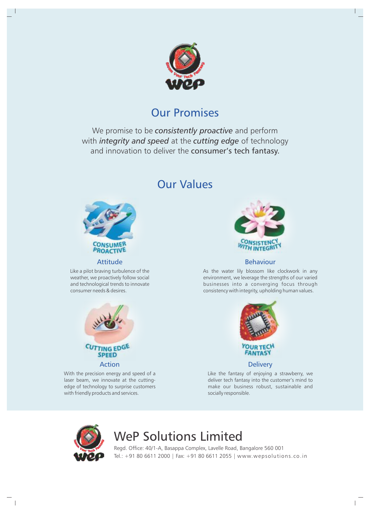

# Our Promises

We promise to be *consistently proactive* and perform with *integrity and speed* at the *cutting edge* of technology and innovation to deliver the consumer's tech fantasy.

# Our Values



Attitude

Like a pilot braving turbulence of the weather, we proactively follow social and technological trends to innovate consumer needs & desires.



With the precision energy and speed of a laser beam, we innovate at the cuttingedge of technology to surprise customers with friendly products and services.



# Behaviour

As the water lily blossom like clockwork in any environment, we leverage the strengths of our varied businesses into a converging focus through consistency with integrity, upholding human values.



## **Delivery**

Like the fantasy of enjoying a strawberry, we deliver tech fantasy into the customer's mind to make our business robust, sustainable and socially responsible.



 $\blacksquare$ 

# WeP Solutions Limited

Regd. Office: 40/1-A, Basappa Complex, Lavelle Road, Bangalore 560 001 Tel.: +91 80 6611 2000 | Fax: +91 80 6611 2055 | www.wepsolutions. co.in